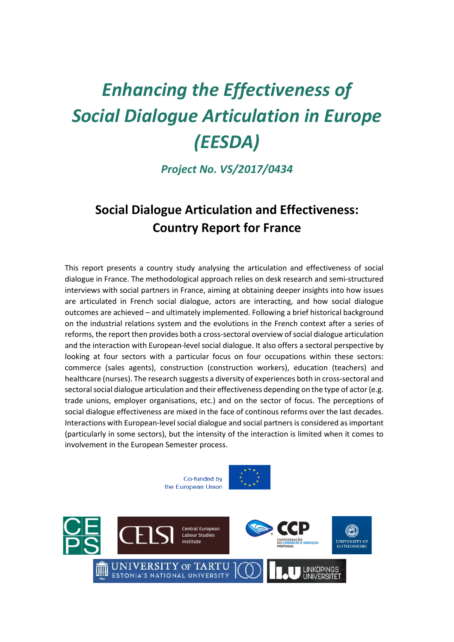# *Enhancing the Effectiveness of Social Dialogue Articulation in Europe (EESDA)*

*Project No. VS/2017/0434*

# **Social Dialogue Articulation and Effectiveness: Country Report for France**

This report presents a country study analysing the articulation and effectiveness of social dialogue in France. The methodological approach relies on desk research and semi-structured interviews with social partners in France, aiming at obtaining deeper insights into how issues are articulated in French social dialogue, actors are interacting, and how social dialogue outcomes are achieved – and ultimately implemented. Following a brief historical background on the industrial relations system and the evolutions in the French context after a series of reforms, the report then provides both a cross-sectoral overview of social dialogue articulation and the interaction with European-level social dialogue. It also offers a sectoral perspective by looking at four sectors with a particular focus on four occupations within these sectors: commerce (sales agents), construction (construction workers), education (teachers) and healthcare (nurses). The research suggests a diversity of experiences both in cross-sectoral and sectoral social dialogue articulation and their effectiveness depending on the type of actor (e.g. trade unions, employer organisations, etc.) and on the sector of focus. The perceptions of social dialogue effectiveness are mixed in the face of continous reforms over the last decades. Interactions with European-level social dialogue and social partners is considered as important (particularly in some sectors), but the intensity of the interaction is limited when it comes to involvement in the European Semester process.

> Co-funded by the European Union



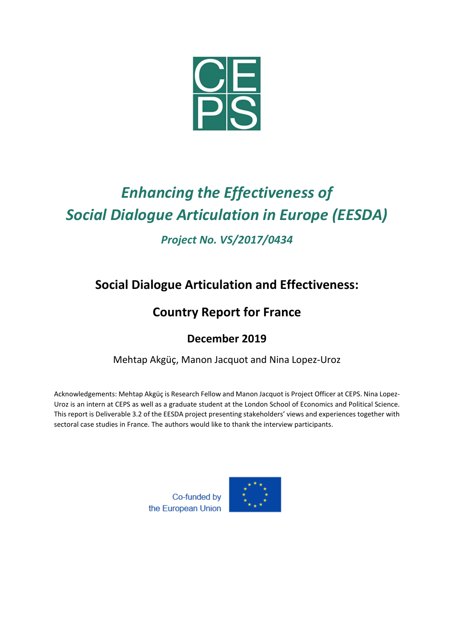

# *Enhancing the Effectiveness of Social Dialogue Articulation in Europe (EESDA)*

# *Project No. VS/2017/0434*

# **Social Dialogue Articulation and Effectiveness:**

# **Country Report for France**

# **December 2019**

# Mehtap Akgüç, Manon Jacquot and Nina Lopez-Uroz

Acknowledgements: Mehtap Akgüç is Research Fellow and Manon Jacquot is Project Officer at CEPS. Nina Lopez-Uroz is an intern at CEPS as well as a graduate student at the London School of Economics and Political Science. This report is Deliverable 3.2 of the EESDA project presenting stakeholders' views and experiences together with sectoral case studies in France. The authors would like to thank the interview participants.

> Co-funded by the European Union

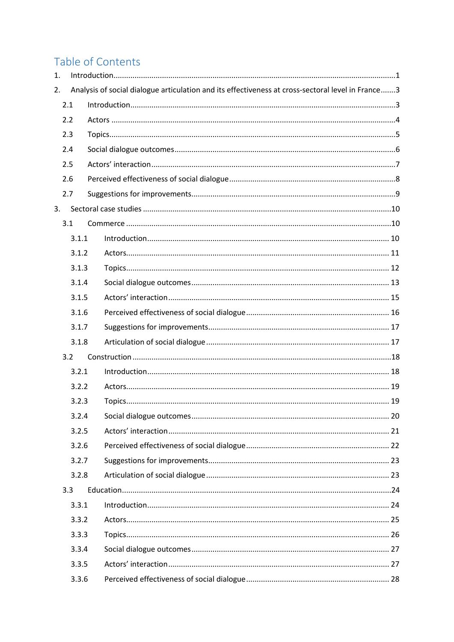# Table of Contents

| 1. |       |                                                                                                   |  |
|----|-------|---------------------------------------------------------------------------------------------------|--|
| 2. |       | Analysis of social dialogue articulation and its effectiveness at cross-sectoral level in France3 |  |
|    | 2.1   |                                                                                                   |  |
|    | 2.2   |                                                                                                   |  |
|    | 2.3   |                                                                                                   |  |
|    | 2.4   |                                                                                                   |  |
|    | 2.5   |                                                                                                   |  |
|    | 2.6   |                                                                                                   |  |
|    | 2.7   |                                                                                                   |  |
| 3. |       |                                                                                                   |  |
|    | 3.1   |                                                                                                   |  |
|    | 3.1.1 |                                                                                                   |  |
|    | 3.1.2 |                                                                                                   |  |
|    | 3.1.3 |                                                                                                   |  |
|    | 3.1.4 |                                                                                                   |  |
|    | 3.1.5 |                                                                                                   |  |
|    | 3.1.6 |                                                                                                   |  |
|    | 3.1.7 |                                                                                                   |  |
|    | 3.1.8 |                                                                                                   |  |
|    | 3.2   |                                                                                                   |  |
|    | 3.2.1 |                                                                                                   |  |
|    | 3.2.2 |                                                                                                   |  |
|    | 3.2.3 |                                                                                                   |  |
|    | 3.2.4 |                                                                                                   |  |
|    | 3.2.5 |                                                                                                   |  |
|    | 3.2.6 |                                                                                                   |  |
|    | 3.2.7 |                                                                                                   |  |
|    | 3.2.8 |                                                                                                   |  |
|    | 3.3   |                                                                                                   |  |
|    | 3.3.1 |                                                                                                   |  |
|    | 3.3.2 |                                                                                                   |  |
|    | 3.3.3 |                                                                                                   |  |
|    | 3.3.4 |                                                                                                   |  |
|    | 3.3.5 |                                                                                                   |  |
|    | 3.3.6 |                                                                                                   |  |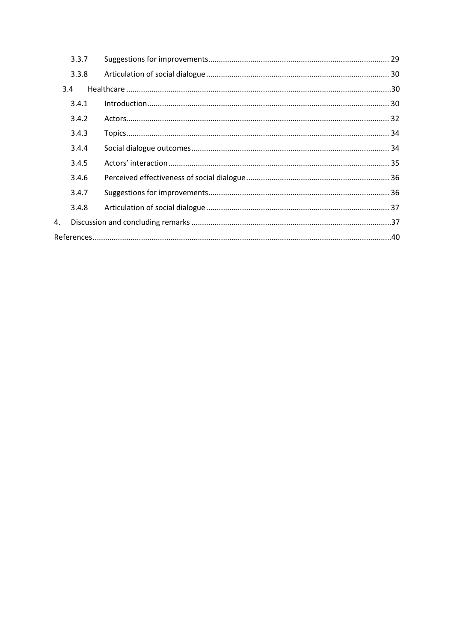|    | 3.3.7 |  |  |  |
|----|-------|--|--|--|
|    | 3.3.8 |  |  |  |
|    | 3.4   |  |  |  |
|    | 3.4.1 |  |  |  |
|    | 3.4.2 |  |  |  |
|    | 3.4.3 |  |  |  |
|    | 3.4.4 |  |  |  |
|    | 3.4.5 |  |  |  |
|    | 3.4.6 |  |  |  |
|    | 3.4.7 |  |  |  |
|    | 3.4.8 |  |  |  |
| 4. |       |  |  |  |
|    |       |  |  |  |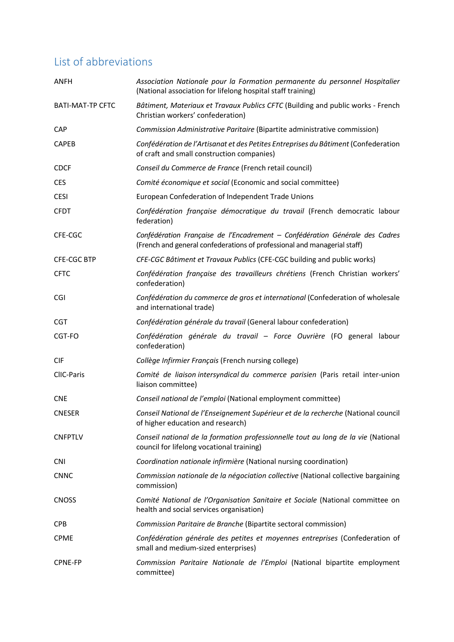# List of abbreviations

| ANFH                    | Association Nationale pour la Formation permanente du personnel Hospitalier<br>(National association for lifelong hospital staff training)               |
|-------------------------|----------------------------------------------------------------------------------------------------------------------------------------------------------|
| <b>BATI-MAT-TP CFTC</b> | Bâtiment, Materiaux et Travaux Publics CFTC (Building and public works - French<br>Christian workers' confederation)                                     |
| <b>CAP</b>              | Commission Administrative Paritaire (Bipartite administrative commission)                                                                                |
| <b>CAPEB</b>            | Confédération de l'Artisanat et des Petites Entreprises du Bâtiment (Confederation<br>of craft and small construction companies)                         |
| <b>CDCF</b>             | Conseil du Commerce de France (French retail council)                                                                                                    |
| <b>CES</b>              | Comité économique et social (Economic and social committee)                                                                                              |
| <b>CESI</b>             | European Confederation of Independent Trade Unions                                                                                                       |
| <b>CFDT</b>             | Confédération française démocratique du travail (French democratic labour<br>federation)                                                                 |
| CFE-CGC                 | Confédération Française de l'Encadrement – Confédération Générale des Cadres<br>(French and general confederations of professional and managerial staff) |
| <b>CFE-CGC BTP</b>      | CFE-CGC Bâtiment et Travaux Publics (CFE-CGC building and public works)                                                                                  |
| <b>CFTC</b>             | Confédération française des travailleurs chrétiens (French Christian workers'<br>confederation)                                                          |
| CGI                     | Confédération du commerce de gros et international (Confederation of wholesale<br>and international trade)                                               |
| <b>CGT</b>              | Confédération générale du travail (General labour confederation)                                                                                         |
| CGT-FO                  | Confédération générale du travail - Force Ouvrière (FO general labour<br>confederation)                                                                  |
| <b>CIF</b>              | Collège Infirmier Français (French nursing college)                                                                                                      |
| CIIC-Paris              | Comité de liaison intersyndical du commerce parisien (Paris retail inter-union<br>liaison committee)                                                     |
| <b>CNE</b>              | Conseil national de l'emploi (National employment committee)                                                                                             |
| <b>CNESER</b>           | Conseil National de l'Enseignement Supérieur et de la recherche (National council<br>of higher education and research)                                   |
| <b>CNFPTLV</b>          | Conseil national de la formation professionnelle tout au long de la vie (National<br>council for lifelong vocational training)                           |
| <b>CNI</b>              | Coordination nationale infirmière (National nursing coordination)                                                                                        |
| <b>CNNC</b>             | Commission nationale de la négociation collective (National collective bargaining<br>commission)                                                         |
| <b>CNOSS</b>            | Comité National de l'Organisation Sanitaire et Sociale (National committee on<br>health and social services organisation)                                |
| <b>CPB</b>              | Commission Paritaire de Branche (Bipartite sectoral commission)                                                                                          |
| <b>CPME</b>             | Confédération générale des petites et moyennes entreprises (Confederation of<br>small and medium-sized enterprises)                                      |
| <b>CPNE-FP</b>          | Commission Paritaire Nationale de l'Emploi (National bipartite employment<br>committee)                                                                  |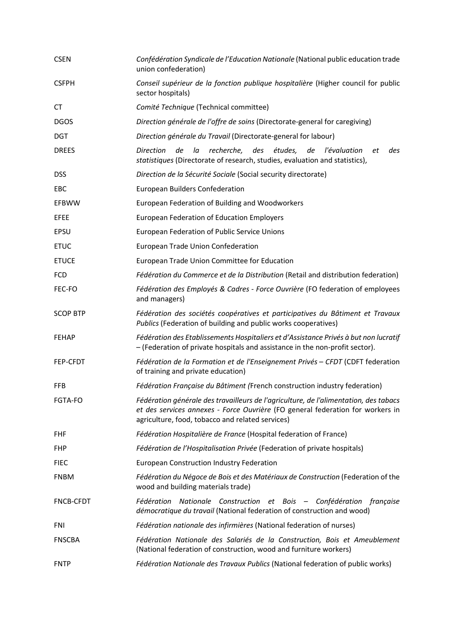| <b>CSEN</b>      | Confédération Syndicale de l'Education Nationale (National public education trade<br>union confederation)                                                                                                                  |
|------------------|----------------------------------------------------------------------------------------------------------------------------------------------------------------------------------------------------------------------------|
| <b>CSFPH</b>     | Conseil supérieur de la fonction publique hospitalière (Higher council for public<br>sector hospitals)                                                                                                                     |
| СT               | Comité Technique (Technical committee)                                                                                                                                                                                     |
| <b>DGOS</b>      | Direction générale de l'offre de soins (Directorate-general for caregiving)                                                                                                                                                |
| <b>DGT</b>       | Direction générale du Travail (Directorate-general for labour)                                                                                                                                                             |
| <b>DREES</b>     | de<br>la<br>recherche,<br>des études,<br>de<br>Direction<br>l'évaluation<br>des<br>еt<br>statistiques (Directorate of research, studies, evaluation and statistics),                                                       |
| <b>DSS</b>       | Direction de la Sécurité Sociale (Social security directorate)                                                                                                                                                             |
| <b>EBC</b>       | European Builders Confederation                                                                                                                                                                                            |
| <b>EFBWW</b>     | European Federation of Building and Woodworkers                                                                                                                                                                            |
| <b>EFEE</b>      | <b>European Federation of Education Employers</b>                                                                                                                                                                          |
| EPSU             | European Federation of Public Service Unions                                                                                                                                                                               |
| <b>ETUC</b>      | European Trade Union Confederation                                                                                                                                                                                         |
| <b>ETUCE</b>     | European Trade Union Committee for Education                                                                                                                                                                               |
| <b>FCD</b>       | Fédération du Commerce et de la Distribution (Retail and distribution federation)                                                                                                                                          |
| FEC-FO           | Fédération des Employés & Cadres - Force Ouvrière (FO federation of employees<br>and managers)                                                                                                                             |
| <b>SCOP BTP</b>  | Fédération des sociétés coopératives et participatives du Bâtiment et Travaux<br>Publics (Federation of building and public works cooperatives)                                                                            |
| <b>FEHAP</b>     | Fédération des Etablissements Hospitaliers et d'Assistance Privés à but non lucratif<br>- (Federation of private hospitals and assistance in the non-profit sector).                                                       |
| <b>FEP-CFDT</b>  | Fédération de la Formation et de l'Enseignement Privés - CFDT (CDFT federation<br>of training and private education)                                                                                                       |
| <b>FFB</b>       | Fédération Française du Bâtiment (French construction industry federation)                                                                                                                                                 |
| <b>FGTA-FO</b>   | Fédération générale des travailleurs de l'agriculture, de l'alimentation, des tabacs<br>et des services annexes - Force Ouvrière (FO general federation for workers in<br>agriculture, food, tobacco and related services) |
| <b>FHF</b>       | Fédération Hospitalière de France (Hospital federation of France)                                                                                                                                                          |
| <b>FHP</b>       | Fédération de l'Hospitalisation Privée (Federation of private hospitals)                                                                                                                                                   |
| <b>FIEC</b>      | <b>European Construction Industry Federation</b>                                                                                                                                                                           |
| <b>FNBM</b>      | Fédération du Négoce de Bois et des Matériaux de Construction (Federation of the<br>wood and building materials trade)                                                                                                     |
| <b>FNCB-CFDT</b> | Fédération<br>Nationale Construction et Bois – Confédération française<br>démocratique du travail (National federation of construction and wood)                                                                           |
| FNI              | Fédération nationale des infirmières (National federation of nurses)                                                                                                                                                       |
| <b>FNSCBA</b>    | Fédération Nationale des Salariés de la Construction, Bois et Ameublement<br>(National federation of construction, wood and furniture workers)                                                                             |
| FNTP             | Fédération Nationale des Travaux Publics (National federation of public works)                                                                                                                                             |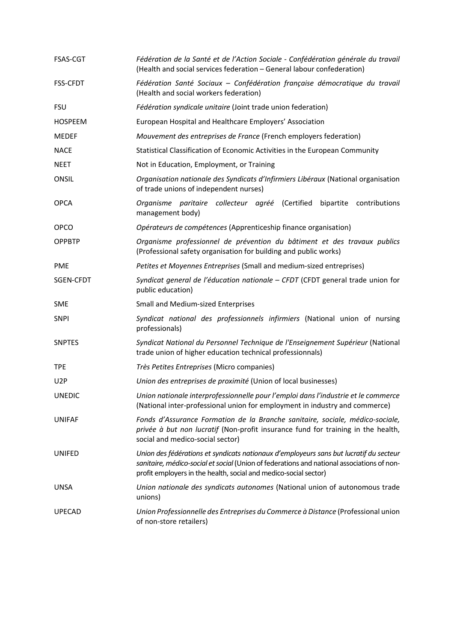| <b>FSAS-CGT</b>  | Fédération de la Santé et de l'Action Sociale - Confédération générale du travail<br>(Health and social services federation - General labour confederation)                                                                                              |
|------------------|----------------------------------------------------------------------------------------------------------------------------------------------------------------------------------------------------------------------------------------------------------|
| <b>FSS-CFDT</b>  | Fédération Santé Sociaux - Confédération française démocratique du travail<br>(Health and social workers federation)                                                                                                                                     |
| <b>FSU</b>       | Fédération syndicale unitaire (Joint trade union federation)                                                                                                                                                                                             |
| <b>HOSPEEM</b>   | European Hospital and Healthcare Employers' Association                                                                                                                                                                                                  |
| <b>MEDEF</b>     | Mouvement des entreprises de France (French employers federation)                                                                                                                                                                                        |
| <b>NACE</b>      | Statistical Classification of Economic Activities in the European Community                                                                                                                                                                              |
| <b>NEET</b>      | Not in Education, Employment, or Training                                                                                                                                                                                                                |
| ONSIL            | Organisation nationale des Syndicats d'Infirmiers Libéraux (National organisation<br>of trade unions of independent nurses)                                                                                                                              |
| <b>OPCA</b>      | Organisme paritaire collecteur agréé (Certified bipartite contributions<br>management body)                                                                                                                                                              |
| <b>OPCO</b>      | Opérateurs de compétences (Apprenticeship finance organisation)                                                                                                                                                                                          |
| <b>OPPBTP</b>    | Organisme professionnel de prévention du bâtiment et des travaux publics<br>(Professional safety organisation for building and public works)                                                                                                             |
| <b>PME</b>       | Petites et Moyennes Entreprises (Small and medium-sized entreprises)                                                                                                                                                                                     |
| SGEN-CFDT        | Syndicat general de l'éducation nationale - CFDT (CFDT general trade union for<br>public education)                                                                                                                                                      |
| <b>SME</b>       | Small and Medium-sized Enterprises                                                                                                                                                                                                                       |
| <b>SNPI</b>      | Syndicat national des professionnels infirmiers (National union of nursing<br>professionals)                                                                                                                                                             |
| <b>SNPTES</b>    | Syndicat National du Personnel Technique de l'Enseignement Supérieur (National<br>trade union of higher education technical professionnals)                                                                                                              |
| <b>TPE</b>       | Très Petites Entreprises (Micro companies)                                                                                                                                                                                                               |
| U <sub>2</sub> P | Union des entreprises de proximité (Union of local businesses)                                                                                                                                                                                           |
| <b>UNEDIC</b>    | Union nationale interprofessionnelle pour l'emploi dans l'industrie et le commerce<br>(National inter-professional union for employment in industry and commerce)                                                                                        |
| <b>UNIFAF</b>    | Fonds d'Assurance Formation de la Branche sanitaire, sociale, médico-sociale,<br>privée à but non lucratif (Non-profit insurance fund for training in the health,<br>social and medico-social sector)                                                    |
| <b>UNIFED</b>    | Union des fédérations et syndicats nationaux d'employeurs sans but lucratif du secteur<br>sanitaire, médico-social et social (Union of federations and national associations of non-<br>profit employers in the health, social and medico-social sector) |
| UNSA             | Union nationale des syndicats autonomes (National union of autonomous trade<br>unions)                                                                                                                                                                   |
| <b>UPECAD</b>    | Union Professionnelle des Entreprises du Commerce à Distance (Professional union<br>of non-store retailers)                                                                                                                                              |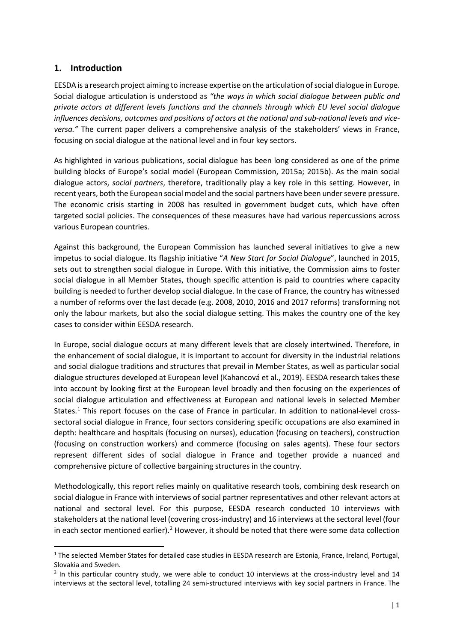# <span id="page-7-0"></span>**1. Introduction**

EESDA is a research project aiming to increase expertise on the articulation of social dialogue in Europe. Social dialogue articulation is understood as *"the ways in which social dialogue between public and private actors at different levels functions and the channels through which EU level social dialogue influences decisions, outcomes and positions of actors at the national and sub-national levels and viceversa."* The current paper delivers a comprehensive analysis of the stakeholders' views in France, focusing on social dialogue at the national level and in four key sectors.

As highlighted in various publications, social dialogue has been long considered as one of the prime building blocks of Europe's social model (European Commission, 2015a; 2015b). As the main social dialogue actors, *social partners*, therefore, traditionally play a key role in this setting. However, in recent years, both the European social model and the social partners have been under severe pressure. The economic crisis starting in 2008 has resulted in government budget cuts, which have often targeted social policies. The consequences of these measures have had various repercussions across various European countries.

Against this background, the European Commission has launched several initiatives to give a new impetus to social dialogue. Its flagship initiative "*A New Start for Social Dialogue*", launched in 2015, sets out to strengthen social dialogue in Europe. With this initiative, the Commission aims to foster social dialogue in all Member States, though specific attention is paid to countries where capacity building is needed to further develop social dialogue. In the case of France, the country has witnessed a number of reforms over the last decade (e.g. 2008, 2010, 2016 and 2017 reforms) transforming not only the labour markets, but also the social dialogue setting. This makes the country one of the key cases to consider within EESDA research.

In Europe, social dialogue occurs at many different levels that are closely intertwined. Therefore, in the enhancement of social dialogue, it is important to account for diversity in the industrial relations and social dialogue traditions and structures that prevail in Member States, as well as particular social dialogue structures developed at European level (Kahancová et al., 2019). EESDA research takes these into account by looking first at the European level broadly and then focusing on the experiences of social dialogue articulation and effectiveness at European and national levels in selected Member States.<sup>[1](#page-7-1)</sup> This report focuses on the case of France in particular. In addition to national-level crosssectoral social dialogue in France, four sectors considering specific occupations are also examined in depth: healthcare and hospitals (focusing on nurses), education (focusing on teachers), construction (focusing on construction workers) and commerce (focusing on sales agents). These four sectors represent different sides of social dialogue in France and together provide a nuanced and comprehensive picture of collective bargaining structures in the country.

Methodologically, this report relies mainly on qualitative research tools, combining desk research on social dialogue in France with interviews of social partner representatives and other relevant actors at national and sectoral level. For this purpose, EESDA research conducted 10 interviews with stakeholders at the national level (covering cross-industry) and 16 interviews at the sectoral level (four in each sector mentioned earlier).<sup>[2](#page-7-2)</sup> However, it should be noted that there were some data collection

<span id="page-7-1"></span><sup>&</sup>lt;sup>1</sup> The selected Member States for detailed case studies in EESDA research are Estonia, France, Ireland, Portugal, Slovakia and Sweden.

<span id="page-7-2"></span> $<sup>2</sup>$  In this particular country study, we were able to conduct 10 interviews at the cross-industry level and 14</sup> interviews at the sectoral level, totalling 24 semi-structured interviews with key social partners in France. The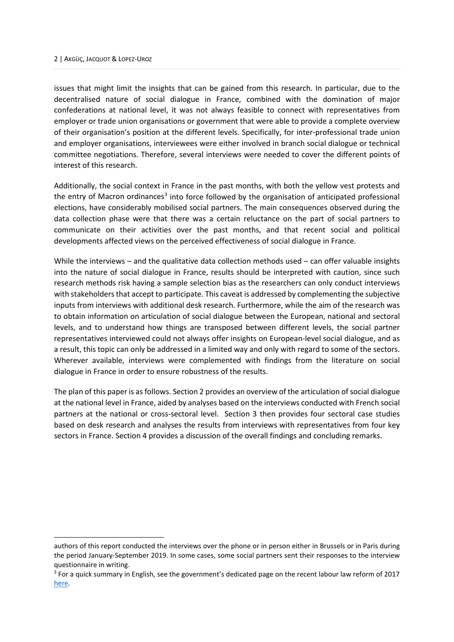issues that might limit the insights that can be gained from this research. In particular, due to the decentralised nature of social dialogue in France, combined with the domination of major confederations at national level, it was not always feasible to connect with representatives from employer or trade union organisations or government that were able to provide a complete overview of their organisation's position at the different levels. Specifically, for inter-professional trade union and employer organisations, interviewees were either involved in branch social dialogue or technical committee negotiations. Therefore, several interviews were needed to cover the different points of interest of this research.

Additionally, the social context in France in the past months, with both the yellow vest protests and the entry of Macron ordinances<sup>[3](#page-8-0)</sup> into force followed by the organisation of anticipated professional elections, have considerably mobilised social partners. The main consequences observed during the data collection phase were that there was a certain reluctance on the part of social partners to communicate on their activities over the past months, and that recent social and political developments affected views on the perceived effectiveness of social dialogue in France.

While the interviews – and the qualitative data collection methods used – can offer valuable insights into the nature of social dialogue in France, results should be interpreted with caution, since such research methods risk having a sample selection bias as the researchers can only conduct interviews with stakeholders that accept to participate. This caveat is addressed by complementing the subjective inputs from interviews with additional desk research. Furthermore, while the aim of the research was to obtain information on articulation of social dialogue between the European, national and sectoral levels, and to understand how things are transposed between different levels, the social partner representatives interviewed could not always offer insights on European-level social dialogue, and as a result, this topic can only be addressed in a limited way and only with regard to some of the sectors. Wherever available, interviews were complemented with findings from the literature on social dialogue in France in order to ensure robustness of the results.

The plan of this paper is as follows. Section 2 provides an overview of the articulation of social dialogue at the national level in France, aided by analyses based on the interviews conducted with French social partners at the national or cross-sectoral level. Section 3 then provides four sectoral case studies based on desk research and analyses the results from interviews with representatives from four key sectors in France. Section 4 provides a discussion of the overall findings and concluding remarks.

authors of this report conducted the interviews over the phone or in person either in Brussels or in Paris during the period January-September 2019. In some cases, some social partners sent their responses to the interview questionnaire in writing.

<span id="page-8-0"></span><sup>&</sup>lt;sup>3</sup> For a quick summary in English, see the government's dedicated page on the recent labour law reform of 2017 [here.](https://www.gouvernement.fr/en/labour-law-reform)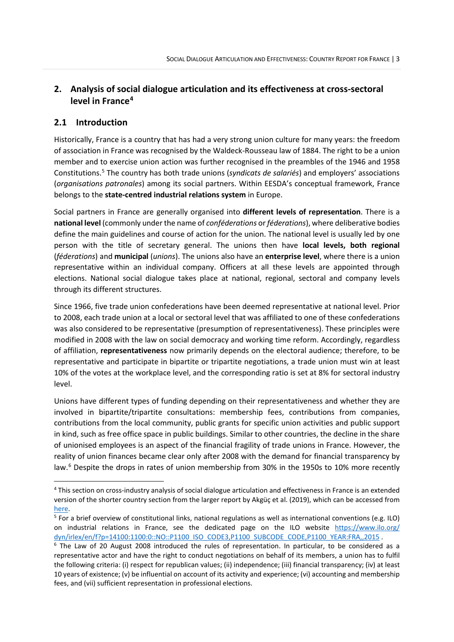# <span id="page-9-0"></span>**2. Analysis of social dialogue articulation and its effectiveness at cross-sectoral level in France[4](#page-9-2)**

# <span id="page-9-1"></span>**2.1 Introduction**

Historically, France is a country that has had a very strong union culture for many years: the freedom of association in France was recognised by the Waldeck-Rousseau law of 1884. The right to be a union member and to exercise union action was further recognised in the preambles of the 1946 and 1958 Constitutions.[5](#page-9-3) The country has both trade unions (*syndicats de salariés*) and employers' associations (*organisations patronales*) among its social partners. Within EESDA's conceptual framework, France belongs to the **state-centred industrial relations system** in Europe.

Social partners in France are generally organised into **different levels of representation**. There is a **national level** (commonly under the name of *conféderations* or *féderations*), where deliberative bodies define the main guidelines and course of action for the union. The national level is usually led by one person with the title of secretary general. The unions then have **local levels, both regional** (*féderations*) and **municipal** (*unions*). The unions also have an **enterprise level**, where there is a union representative within an individual company. Officers at all these levels are appointed through elections. National social dialogue takes place at national, regional, sectoral and company levels through its different structures.

Since 1966, five trade union confederations have been deemed representative at national level. Prior to 2008, each trade union at a local or sectoral level that was affiliated to one of these confederations was also considered to be representative (presumption of representativeness). These principles were modified in 2008 with the law on social democracy and working time reform. Accordingly, regardless of affiliation, **representativeness** now primarily depends on the electoral audience; therefore, to be representative and participate in bipartite or tripartite negotiations, a trade union must win at least 10% of the votes at the workplace level, and the corresponding ratio is set at 8% for sectoral industry level.

Unions have different types of funding depending on their representativeness and whether they are involved in bipartite/tripartite consultations: membership fees, contributions from companies, contributions from the local community, public grants for specific union activities and public support in kind, such as free office space in public buildings. Similar to other countries, the decline in the share of unionised employees is an aspect of the financial fragility of trade unions in France. However, the reality of union finances became clear only after 2008 with the demand for financial transparency by law.<sup>[6](#page-9-4)</sup> Despite the drops in rates of union membership from 30% in the 1950s to 10% more recently

<span id="page-9-2"></span><sup>4</sup> This section on cross-industry analysis of social dialogue articulation and effectiveness in France is an extended version of the shorter country section from the larger report by Akgüç et al. (2019), which can be accessed from [here.](https://www.ceps.eu/ceps-publications/stakeholders-views-on-and-experiences-with-the-articulation-of-social-dialogue-and-its-effectiveness/)<br><sup>5</sup> For a brief overview of constitutional links, national regulations as well as international conventions (e.g. ILO)

<span id="page-9-3"></span>on industrial relations in France, see the dedicated page on the ILO website [https://www.ilo.org/](https://www.ilo.org/%0bdyn/irlex/en/f?p=14100:1100:0::NO::P1100_ISO_CODE3,P1100_SUBCODE_CODE,P1100_YEAR:FRA,,2015) dyn/irlex/en/f?p=14100:1100:0::NO::P1100\_ISO\_CODE3,P1100\_SUBCODE\_CODE,P1100\_YEAR:FRA,,2015 .<br><sup>6</sup> The Law of 20 August 2008 introduced the rules of representation. In particular, to be considered as a

<span id="page-9-4"></span>representative actor and have the right to conduct negotiations on behalf of its members, a union has to fulfil the following criteria: (i) respect for republican values; (ii) independence; (iii) financial transparency; (iv) at least 10 years of existence; (v) be influential on account of its activity and experience; (vi) accounting and membership fees, and (vii) sufficient representation in professional elections.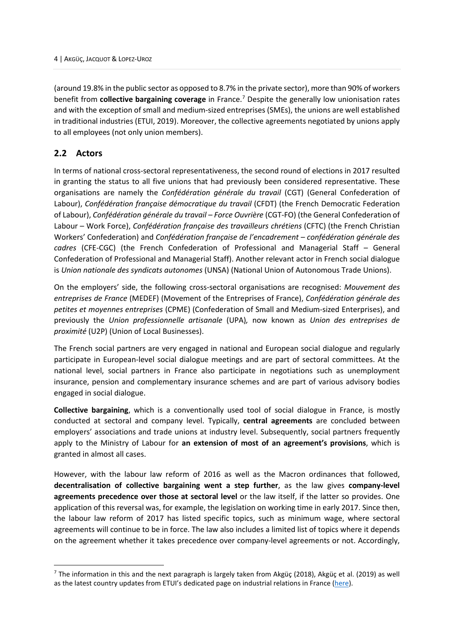(around 19.8% in the public sector as opposed to 8.7% in the private sector), more than 90% of workers benefit from **collective bargaining coverage** in France.[7](#page-10-1) Despite the generally low unionisation rates and with the exception of small and medium-sized entreprises (SMEs), the unions are well established in traditional industries (ETUI, 2019). Moreover, the collective agreements negotiated by unions apply to all employees (not only union members).

# <span id="page-10-0"></span>**2.2 Actors**

In terms of national cross-sectoral representativeness, the second round of elections in 2017 resulted in granting the status to all five unions that had previously been considered representative. These organisations are namely the *Confédération générale du travail* (CGT) (General Confederation of Labour), *Confédération française démocratique du travail* (CFDT) (the French Democratic Federation of Labour), *Confédération générale du travail – Force Ouvrière* (CGT-FO) (the General Confederation of Labour – Work Force), *Confédération française des travailleurs chrétiens* (CFTC) (the French Christian Workers' Confederation) and *Confédération française de l'encadrement – confédération générale des cadres* (CFE-CGC) (the French Confederation of Professional and Managerial Staff – General Confederation of Professional and Managerial Staff). Another relevant actor in French social dialogue is *Union nationale des syndicats autonomes* (UNSA) (National Union of Autonomous Trade Unions).

On the employers' side, the following cross-sectoral organisations are recognised: *Mouvement des entreprises de France* (MEDEF) (Movement of the Entreprises of France), *Confédération générale des petites et moyennes entreprises* (CPME) (Confederation of Small and Medium-sized Enterprises), and previously the *Union professionnelle artisanale* (UPA)*,* now known as *Union des entreprises de proximité* (U2P) (Union of Local Businesses).

The French social partners are very engaged in national and European social dialogue and regularly participate in European-level social dialogue meetings and are part of sectoral committees. At the national level, social partners in France also participate in negotiations such as unemployment insurance, pension and complementary insurance schemes and are part of various advisory bodies engaged in social dialogue.

**Collective bargaining**, which is a conventionally used tool of social dialogue in France, is mostly conducted at sectoral and company level. Typically, **central agreements** are concluded between employers' associations and trade unions at industry level. Subsequently, social partners frequently apply to the Ministry of Labour for **an extension of most of an agreement's provisions**, which is granted in almost all cases.

However, with the labour law reform of 2016 as well as the Macron ordinances that followed, **decentralisation of collective bargaining went a step further**, as the law gives **company-level agreements precedence over those at sectoral level** or the law itself, if the latter so provides. One application of this reversal was, for example, the legislation on working time in early 2017. Since then, the labour law reform of 2017 has listed specific topics, such as minimum wage, where sectoral agreements will continue to be in force. The law also includes a limited list of topics where it depends on the agreement whether it takes precedence over company-level agreements or not. Accordingly,

<span id="page-10-1"></span><sup>&</sup>lt;sup>7</sup> The information in this and the next paragraph is largely taken from Akgüç (2018), Akgüç et al. (2019) as well as the latest country updates from ETUI's dedicated page on industrial relations in France [\(here\)](https://www.etui.org/ReformsWatch/France/Industrial-relations-in-France-background-summary-updated-July-2019).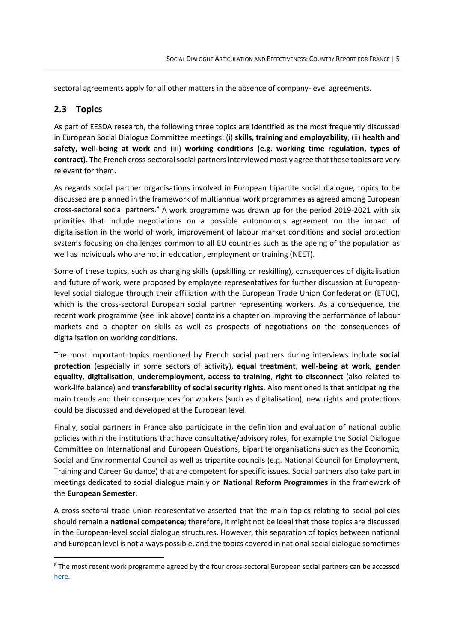sectoral agreements apply for all other matters in the absence of company-level agreements.

# <span id="page-11-0"></span>**2.3 Topics**

As part of EESDA research, the following three topics are identified as the most frequently discussed in European Social Dialogue Committee meetings: (i) **skills, training and employability**, (ii) **health and safety, well-being at work** and (iii) **working conditions (e.g. working time regulation, types of contract)**. The French cross-sectoral social partners interviewed mostly agree that these topics are very relevant for them.

As regards social partner organisations involved in European bipartite social dialogue, topics to be discussed are planned in the framework of multiannual work programmes as agreed among European cross-sectoral social partners.<sup>[8](#page-11-1)</sup> A work programme was drawn up for the period 2019-2021 with six priorities that include negotiations on a possible autonomous agreement on the impact of digitalisation in the world of work, improvement of labour market conditions and social protection systems focusing on challenges common to all EU countries such as the ageing of the population as well as individuals who are not in education, employment or training (NEET).

Some of these topics, such as changing skills (upskilling or reskilling), consequences of digitalisation and future of work, were proposed by employee representatives for further discussion at Europeanlevel social dialogue through their affiliation with the European Trade Union Confederation (ETUC), which is the cross-sectoral European social partner representing workers. As a consequence, the recent work programme (see link above) contains a chapter on improving the performance of labour markets and a chapter on skills as well as prospects of negotiations on the consequences of digitalisation on working conditions.

The most important topics mentioned by French social partners during interviews include **social protection** (especially in some sectors of activity), **equal treatment**, **well-being at work**, **gender equality**, **digitalisation**, **underemployment**, **access to training**, **right to disconnect** (also related to work-life balance) and **transferability of social security rights**. Also mentioned is that anticipating the main trends and their consequences for workers (such as digitalisation), new rights and protections could be discussed and developed at the European level.

Finally, social partners in France also participate in the definition and evaluation of national public policies within the institutions that have consultative/advisory roles, for example the Social Dialogue Committee on International and European Questions, bipartite organisations such as the Economic, Social and Environmental Council as well as tripartite councils (e.g. National Council for Employment, Training and Career Guidance) that are competent for specific issues. Social partners also take part in meetings dedicated to social dialogue mainly on **National Reform Programmes** in the framework of the **European Semester**.

A cross-sectoral trade union representative asserted that the main topics relating to social policies should remain a **national competence**; therefore, it might not be ideal that those topics are discussed in the European-level social dialogue structures. However, this separation of topics between national and European level is not always possible, and the topics covered in national social dialogue sometimes

<span id="page-11-1"></span><sup>&</sup>lt;sup>8</sup> The most recent work programme agreed by the four cross-sectoral European social partners can be accessed [here.](https://www.businesseurope.eu/sites/buseur/files/media/reports_and_studies/v2_sd_work_programme_2019-2021.pdf)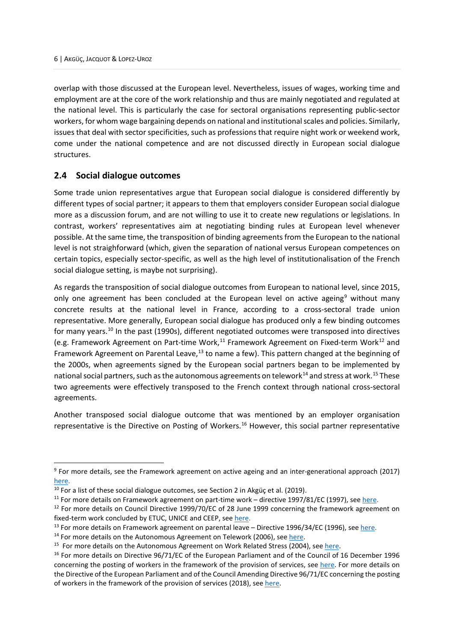overlap with those discussed at the European level. Nevertheless, issues of wages, working time and employment are at the core of the work relationship and thus are mainly negotiated and regulated at the national level. This is particularly the case for sectoral organisations representing public-sector workers, for whom wage bargaining depends on national and institutional scales and policies. Similarly, issues that deal with sector specificities, such as professions that require night work or weekend work, come under the national competence and are not discussed directly in European social dialogue structures.

# <span id="page-12-0"></span>**2.4 Social dialogue outcomes**

Some trade union representatives argue that European social dialogue is considered differently by different types of social partner; it appears to them that employers consider European social dialogue more as a discussion forum, and are not willing to use it to create new regulations or legislations. In contrast, workers' representatives aim at negotiating binding rules at European level whenever possible. At the same time, the transposition of binding agreements from the European to the national level is not straighforward (which, given the separation of national versus European competences on certain topics, especially sector-specific, as well as the high level of institutionalisation of the French social dialogue setting, is maybe not surprising).

As regards the transposition of social dialogue outcomes from European to national level, since 2015, only one agreement has been concluded at the European level on active ageing<sup>[9](#page-12-1)</sup> without many concrete results at the national level in France, according to a cross-sectoral trade union representative. More generally, European social dialogue has produced only a few binding outcomes for many years.<sup>[10](#page-12-2)</sup> In the past (1990s), different negotiated outcomes were transposed into directives (e.g. Framework Agreement on Part-time Work,<sup>[11](#page-12-3)</sup> Framework Agreement on Fixed-term Work<sup>[12](#page-12-4)</sup> and Framework Agreement on Parental Leave,<sup>[13](#page-12-5)</sup> to name a few). This pattern changed at the beginning of the 2000s, when agreements signed by the European social partners began to be implemented by national social partners, such as the autonomous agreements on telework $^{14}$  $^{14}$  $^{14}$  and stress at work.  $^{15}$  $^{15}$  $^{15}$  These two agreements were effectively transposed to the French context through national cross-sectoral agreements.

Another transposed social dialogue outcome that was mentioned by an employer organisation representative is the Directive on Posting of Workers.<sup>[16](#page-12-8)</sup> However, this social partner representative

<span id="page-12-1"></span><sup>9</sup> For more details, see the Framework agreement on active ageing and an inter-generational approach (2017)

<span id="page-12-2"></span>[here.](https://ec.europa.eu/social/main.jsp?catId=521&langId=en&agreementId=5504)<br><sup>10</sup> For a list of these social dialogue outcomes, see Section 2 in Akgüç et al. (2019).<br><sup>11</sup> For more details on Framework agreement on part-time work – directive 1997/81/EC (1997), see here.<br><sup>12</sup> For more details

<span id="page-12-4"></span><span id="page-12-3"></span>

<span id="page-12-5"></span>fixed-term work concluded by ETUC, UNICE and CEEP, see <u>here</u>.<br><sup>13</sup> For more details on Framework agreement on parental leave – Directive 1996/34/EC (1996), see <u>here</u>.<br><sup>14</sup> For more details on the Autonomous Agreement on

<span id="page-12-6"></span>

<span id="page-12-7"></span>

<span id="page-12-8"></span>concerning the posting of workers in the framework of the provision of services, see [here.](https://eur-lex.europa.eu/legal-content/en/ALL/?uri=CELEX%3A31996L0071) For more details on the Directive of the European Parliament and of the Council Amending Directive 96/71/EC concerning the posting of workers in the framework of the provision of services (2018), see here.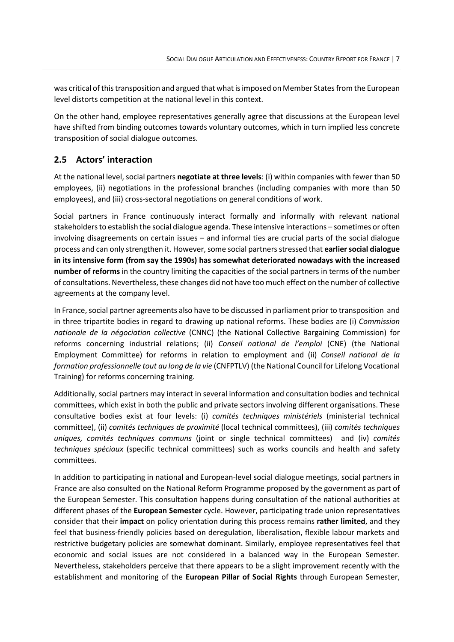was critical ofthis transposition and argued that what is imposed on Member States from the European level distorts competition at the national level in this context.

On the other hand, employee representatives generally agree that discussions at the European level have shifted from binding outcomes towards voluntary outcomes, which in turn implied less concrete transposition of social dialogue outcomes.

# <span id="page-13-0"></span>**2.5 Actors' interaction**

At the national level, social partners **negotiate at three levels**: (i) within companies with fewer than 50 employees, (ii) negotiations in the professional branches (including companies with more than 50 employees), and (iii) cross-sectoral negotiations on general conditions of work.

Social partners in France continuously interact formally and informally with relevant national stakeholders to establish the social dialogue agenda. These intensive interactions – sometimes or often involving disagreements on certain issues – and informal ties are crucial parts of the social dialogue process and can only strengthen it. However, some social partners stressed that **earliersocial dialogue in its intensive form (from say the 1990s) has somewhat deteriorated nowadays with the increased number of reforms** in the country limiting the capacities of the social partners in terms of the number of consultations. Nevertheless, these changes did not have too much effect on the number of collective agreements at the company level.

In France, social partner agreements also have to be discussed in parliament prior to transposition and in three tripartite bodies in regard to drawing up national reforms. These bodies are (i) *Commission nationale de la négociation collective* (CNNC) (the National Collective Bargaining Commission) for reforms concerning industrial relations; (ii) *Conseil national de l'emploi* (CNE) (the National Employment Committee) for reforms in relation to employment and (ii) *Conseil national de la formation professionnelle tout au long de la vie* (CNFPTLV) (the National Council for Lifelong Vocational Training) for reforms concerning training.

Additionally, social partners may interact in several information and consultation bodies and technical committees, which exist in both the public and private sectors involving different organisations. These consultative bodies exist at four levels: (i) *comités techniques ministériels* (ministerial technical committee), (ii) *comités techniques de proximité* (local technical committees), (iii) *comités techniques uniques, comités techniques communs* (joint or single technical committees) and (iv) *comités techniques spéciaux* (specific technical committees) such as works councils and health and safety committees.

In addition to participating in national and European-level social dialogue meetings, social partners in France are also consulted on the National Reform Programme proposed by the government as part of the European Semester. This consultation happens during consultation of the national authorities at different phases of the **European Semester** cycle. However, participating trade union representatives consider that their **impact** on policy orientation during this process remains **rather limited**, and they feel that business-friendly policies based on deregulation, liberalisation, flexible labour markets and restrictive budgetary policies are somewhat dominant. Similarly, employee representatives feel that economic and social issues are not considered in a balanced way in the European Semester. Nevertheless, stakeholders perceive that there appears to be a slight improvement recently with the establishment and monitoring of the **European Pillar of Social Rights** through European Semester,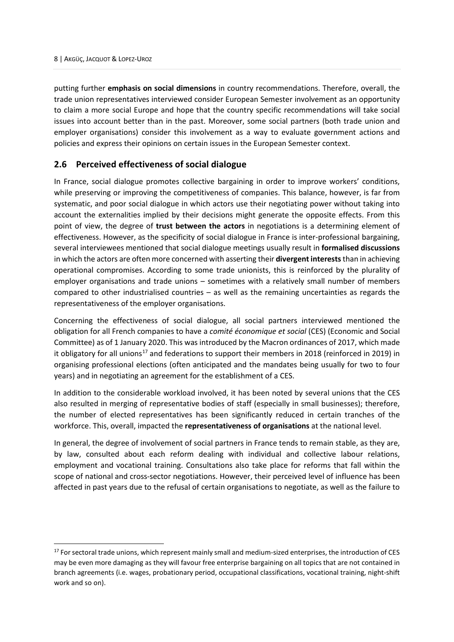putting further **emphasis on social dimensions** in country recommendations. Therefore, overall, the trade union representatives interviewed consider European Semester involvement as an opportunity to claim a more social Europe and hope that the country specific recommendations will take social issues into account better than in the past. Moreover, some social partners (both trade union and employer organisations) consider this involvement as a way to evaluate government actions and policies and express their opinions on certain issues in the European Semester context.

# <span id="page-14-0"></span>**2.6 Perceived effectiveness of social dialogue**

In France, social dialogue promotes collective bargaining in order to improve workers' conditions, while preserving or improving the competitiveness of companies. This balance, however, is far from systematic, and poor social dialogue in which actors use their negotiating power without taking into account the externalities implied by their decisions might generate the opposite effects. From this point of view, the degree of **trust between the actors** in negotiations is a determining element of effectiveness. However, as the specificity of social dialogue in France is inter-professional bargaining, several interviewees mentioned that social dialogue meetings usually result in **formalised discussions** in which the actors are often more concerned with asserting their **divergent interests** than in achieving operational compromises. According to some trade unionists, this is reinforced by the plurality of employer organisations and trade unions – sometimes with a relatively small number of members compared to other industrialised countries – as well as the remaining uncertainties as regards the representativeness of the employer organisations.

Concerning the effectiveness of social dialogue, all social partners interviewed mentioned the obligation for all French companies to have a *comité économique et social* (CES) (Economic and Social Committee) as of 1 January 2020. This was introduced by the Macron ordinances of 2017, which made it obligatory for all unions<sup>[17](#page-14-1)</sup> and federations to support their members in 2018 (reinforced in 2019) in organising professional elections (often anticipated and the mandates being usually for two to four years) and in negotiating an agreement for the establishment of a CES.

In addition to the considerable workload involved, it has been noted by several unions that the CES also resulted in merging of representative bodies of staff (especially in small businesses); therefore, the number of elected representatives has been significantly reduced in certain tranches of the workforce. This, overall, impacted the **representativeness of organisations** at the national level.

In general, the degree of involvement of social partners in France tends to remain stable, as they are, by law, consulted about each reform dealing with individual and collective labour relations, employment and vocational training. Consultations also take place for reforms that fall within the scope of national and cross-sector negotiations. However, their perceived level of influence has been affected in past years due to the refusal of certain organisations to negotiate, as well as the failure to

<span id="page-14-1"></span><sup>&</sup>lt;sup>17</sup> For sectoral trade unions, which represent mainly small and medium-sized enterprises, the introduction of CES may be even more damaging as they will favour free enterprise bargaining on all topics that are not contained in branch agreements (i.e. wages, probationary period, occupational classifications, vocational training, night-shift work and so on).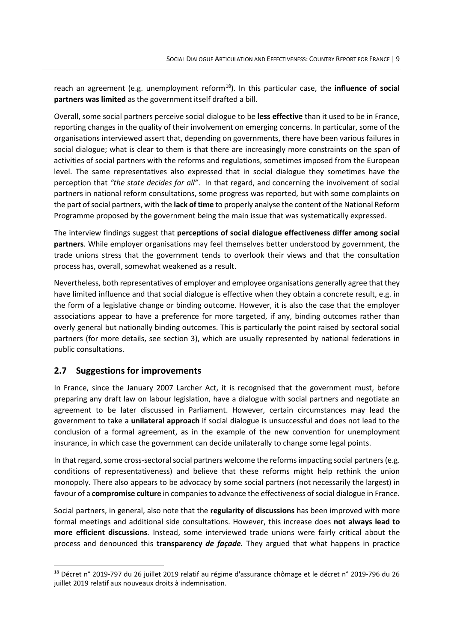reach an agreement (e.g. unemployment reform<sup>[18](#page-15-1)</sup>). In this particular case, the *influence of social* **partners was limited** as the government itself drafted a bill.

Overall, some social partners perceive social dialogue to be **less effective** than it used to be in France, reporting changes in the quality of their involvement on emerging concerns. In particular, some of the organisations interviewed assert that, depending on governments, there have been various failures in social dialogue; what is clear to them is that there are increasingly more constraints on the span of activities of social partners with the reforms and regulations, sometimes imposed from the European level. The same representatives also expressed that in social dialogue they sometimes have the perception that *"the state decides for all"*. In that regard, and concerning the involvement of social partners in national reform consultations, some progress was reported, but with some complaints on the part of social partners, with the **lack of time** to properly analyse the content of the National Reform Programme proposed by the government being the main issue that was systematically expressed.

The interview findings suggest that **perceptions of social dialogue effectiveness differ among social partners**. While employer organisations may feel themselves better understood by government, the trade unions stress that the government tends to overlook their views and that the consultation process has, overall, somewhat weakened as a result.

Nevertheless, both representatives of employer and employee organisations generally agree that they have limited influence and that social dialogue is effective when they obtain a concrete result, e.g. in the form of a legislative change or binding outcome. However, it is also the case that the employer associations appear to have a preference for more targeted, if any, binding outcomes rather than overly general but nationally binding outcomes. This is particularly the point raised by sectoral social partners (for more details, see section 3), which are usually represented by national federations in public consultations.

# <span id="page-15-0"></span>**2.7 Suggestions for improvements**

In France, since the January 2007 Larcher Act, it is recognised that the government must, before preparing any draft law on labour legislation, have a dialogue with social partners and negotiate an agreement to be later discussed in Parliament. However, certain circumstances may lead the government to take a **unilateral approach** if social dialogue is unsuccessful and does not lead to the conclusion of a formal agreement, as in the example of the new convention for unemployment insurance, in which case the government can decide unilaterally to change some legal points.

In that regard, some cross-sectoral social partners welcome the reforms impacting social partners (e.g. conditions of representativeness) and believe that these reforms might help rethink the union monopoly. There also appears to be advocacy by some social partners (not necessarily the largest) in favour of a **compromise culture** in companies to advance the effectiveness of social dialogue in France.

Social partners, in general, also note that the **regularity of discussions** has been improved with more formal meetings and additional side consultations. However, this increase does **not always lead to more efficient discussions**. Instead, some interviewed trade unions were fairly critical about the process and denounced this **transparency** *de façade.* They argued that what happens in practice

<span id="page-15-1"></span><sup>18</sup> Décret n° 2019-797 du 26 juillet 2019 relatif au régime d'assurance chômage et le décret n° 2019-796 du 26 juillet 2019 relatif aux nouveaux droits à indemnisation.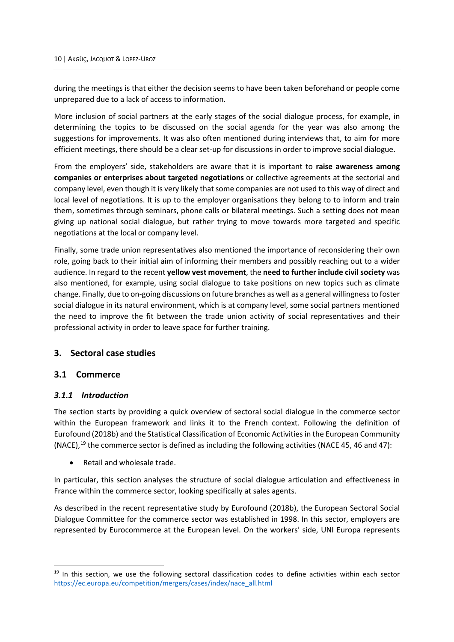during the meetings is that either the decision seems to have been taken beforehand or people come unprepared due to a lack of access to information.

More inclusion of social partners at the early stages of the social dialogue process, for example, in determining the topics to be discussed on the social agenda for the year was also among the suggestions for improvements. It was also often mentioned during interviews that, to aim for more efficient meetings, there should be a clear set-up for discussions in order to improve social dialogue.

From the employers' side, stakeholders are aware that it is important to **raise awareness among companies or enterprises about targeted negotiations** or collective agreements at the sectorial and company level, even though it is very likely that some companies are not used to this way of direct and local level of negotiations. It is up to the employer organisations they belong to to inform and train them, sometimes through seminars, phone calls or bilateral meetings. Such a setting does not mean giving up national social dialogue, but rather trying to move towards more targeted and specific negotiations at the local or company level.

Finally, some trade union representatives also mentioned the importance of reconsidering their own role, going back to their initial aim of informing their members and possibly reaching out to a wider audience. In regard to the recent **yellow vest movement**, the **need to further include civil society** was also mentioned, for example, using social dialogue to take positions on new topics such as climate change. Finally, due to on-going discussions on future branches as well as a general willingness to foster social dialogue in its natural environment, which is at company level, some social partners mentioned the need to improve the fit between the trade union activity of social representatives and their professional activity in order to leave space for further training.

# <span id="page-16-0"></span>**3. Sectoral case studies**

# <span id="page-16-1"></span>**3.1 Commerce**

# <span id="page-16-2"></span>*3.1.1 Introduction*

The section starts by providing a quick overview of sectoral social dialogue in the commerce sector within the European framework and links it to the French context. Following the definition of Eurofound (2018b) and the Statistical Classification of Economic Activities in the European Community (NACE),<sup>[19](#page-16-3)</sup> the commerce sector is defined as including the following activities (NACE 45, 46 and 47):

• Retail and wholesale trade.

In particular, this section analyses the structure of social dialogue articulation and effectiveness in France within the commerce sector, looking specifically at sales agents.

As described in the recent representative study by Eurofound (2018b), the European Sectoral Social Dialogue Committee for the commerce sector was established in 1998. In this sector, employers are represented by Eurocommerce at the European level. On the workers' side, UNI Europa represents

<span id="page-16-3"></span><sup>&</sup>lt;sup>19</sup> In this section, we use the following sectoral classification codes to define activities within each sector [https://ec.europa.eu/competition/mergers/cases/index/nace\\_all.html](https://ec.europa.eu/competition/mergers/cases/index/nace_all.html)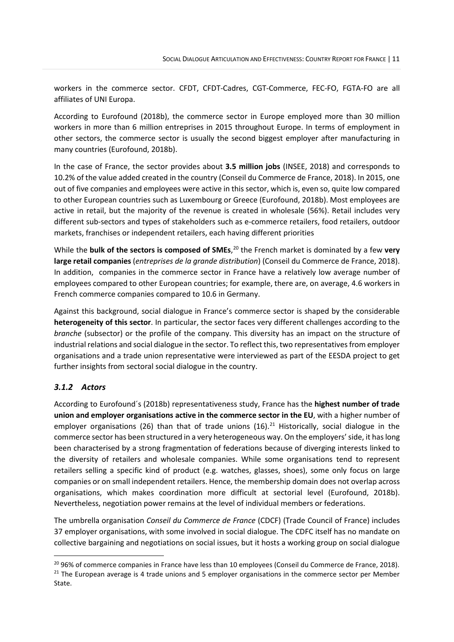workers in the commerce sector. CFDT, CFDT-Cadres, CGT-Commerce, FEC-FO, FGTA-FO are all affiliates of UNI Europa.

According to Eurofound (2018b), the commerce sector in Europe employed more than 30 million workers in more than 6 million entreprises in 2015 throughout Europe. In terms of employment in other sectors, the commerce sector is usually the second biggest employer after manufacturing in many countries (Eurofound, 2018b).

In the case of France, the sector provides about **3.5 million jobs** (INSEE, 2018) and corresponds to 10.2% of the value added created in the country (Conseil du Commerce de France, 2018). In 2015, one out of five companies and employees were active in this sector, which is, even so, quite low compared to other European countries such as Luxembourg or Greece (Eurofound, 2018b). Most employees are active in retail, but the majority of the revenue is created in wholesale (56%). Retail includes very different sub-sectors and types of stakeholders such as e-commerce retailers, food retailers, outdoor markets, franchises or independent retailers, each having different priorities

While the **bulk of the sectors is composed of SMEs**, [20](#page-17-1) the French market is dominated by a few **very large retail companies** (*entreprises de la grande distribution*) (Conseil du Commerce de France, 2018). In addition, companies in the commerce sector in France have a relatively low average number of employees compared to other European countries; for example, there are, on average, 4.6 workers in French commerce companies compared to 10.6 in Germany.

Against this background, social dialogue in France's commerce sector is shaped by the considerable **heterogeneity of this sector**. In particular, the sector faces very different challenges according to the *branche* (subsector) or the profile of the company. This diversity has an impact on the structure of industrial relations and social dialogue in the sector. To reflect this, two representatives from employer organisations and a trade union representative were interviewed as part of the EESDA project to get further insights from sectoral social dialogue in the country.

# <span id="page-17-0"></span>*3.1.2 Actors*

According to Eurofound´s (2018b) representativeness study, France has the **highest number of trade union and employer organisations active in the commerce sector in the EU**, with a higher number of employer organisations (26) than that of trade unions (16).<sup>[21](#page-17-2)</sup> Historically, social dialogue in the commerce sector has been structured in a very heterogeneous way. On the employers' side, it has long been characterised by a strong fragmentation of federations because of diverging interests linked to the diversity of retailers and wholesale companies. While some organisations tend to represent retailers selling a specific kind of product (e.g. watches, glasses, shoes), some only focus on large companies or on small independent retailers. Hence, the membership domain does not overlap across organisations, which makes coordination more difficult at sectorial level (Eurofound, 2018b). Nevertheless, negotiation power remains at the level of individual members or federations.

The umbrella organisation *Conseil du Commerce de France* (CDCF) (Trade Council of France) includes 37 employer organisations, with some involved in social dialogue. The CDFC itself has no mandate on collective bargaining and negotiations on social issues, but it hosts a working group on social dialogue

<span id="page-17-2"></span><span id="page-17-1"></span><sup>&</sup>lt;sup>20</sup> 96% of commerce companies in France have less than 10 employees (Conseil du Commerce de France, 2018).<br><sup>21</sup> The European average is 4 trade unions and 5 employer organisations in the commerce sector per Member State.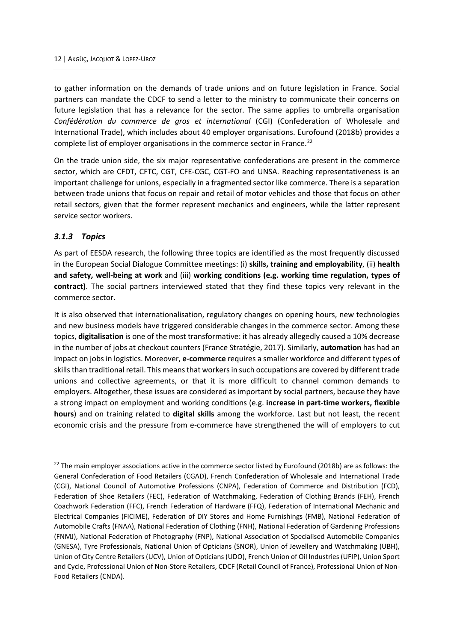to gather information on the demands of trade unions and on future legislation in France. Social partners can mandate the CDCF to send a letter to the ministry to communicate their concerns on future legislation that has a relevance for the sector. The same applies to umbrella organisation *Confédération du commerce de gros et international* (CGI) (Confederation of Wholesale and International Trade), which includes about 40 employer organisations. Eurofound (2018b) provides a complete list of employer organisations in the commerce sector in France.<sup>[22](#page-18-1)</sup>

On the trade union side, the six major representative confederations are present in the commerce sector, which are CFDT, CFTC, CGT, CFE-CGC, CGT-FO and UNSA. Reaching representativeness is an important challenge for unions, especially in a fragmented sector like commerce. There is a separation between trade unions that focus on repair and retail of motor vehicles and those that focus on other retail sectors, given that the former represent mechanics and engineers, while the latter represent service sector workers.

# <span id="page-18-0"></span>*3.1.3 Topics*

As part of EESDA research, the following three topics are identified as the most frequently discussed in the European Social Dialogue Committee meetings: (i) **skills, training and employability**, (ii) **health and safety, well-being at work** and (iii) **working conditions (e.g. working time regulation, types of contract)**. The social partners interviewed stated that they find these topics very relevant in the commerce sector.

It is also observed that internationalisation, regulatory changes on opening hours, new technologies and new business models have triggered considerable changes in the commerce sector. Among these topics, **digitalisation** is one of the most transformative: it has already allegedly caused a 10% decrease in the number of jobs at checkout counters (France Stratégie, 2017). Similarly, **automation** has had an impact on jobs in logistics. Moreover, **e-commerce** requires a smaller workforce and different types of skills than traditional retail. This means that workers in such occupations are covered by different trade unions and collective agreements, or that it is more difficult to channel common demands to employers. Altogether, these issues are considered as important by social partners, because they have a strong impact on employment and working conditions (e.g. **increase in part-time workers, flexible hours**) and on training related to **digital skills** among the workforce. Last but not least, the recent economic crisis and the pressure from e-commerce have strengthened the will of employers to cut

<span id="page-18-1"></span><sup>&</sup>lt;sup>22</sup> The main employer associations active in the commerce sector listed by Eurofound (2018b) are as follows: the General Confederation of Food Retailers (CGAD), French Confederation of Wholesale and International Trade (CGI), National Council of Automotive Professions (CNPA), Federation of Commerce and Distribution (FCD), Federation of Shoe Retailers (FEC), Federation of Watchmaking, Federation of Clothing Brands (FEH), French Coachwork Federation (FFC), French Federation of Hardware (FFQ), Federation of International Mechanic and Electrical Companies (FICIME), Federation of DIY Stores and Home Furnishings (FMB), National Federation of Automobile Crafts (FNAA), National Federation of Clothing (FNH), National Federation of Gardening Professions (FNMJ), National Federation of Photography (FNP), National Association of Specialised Automobile Companies (GNESA), Tyre Professionals, National Union of Opticians (SNOR), Union of Jewellery and Watchmaking (UBH), Union of City Centre Retailers (UCV), Union of Opticians (UDO), French Union of Oil Industries (UFIP), Union Sport and Cycle, Professional Union of Non-Store Retailers, CDCF (Retail Council of France), Professional Union of Non-Food Retailers (CNDA).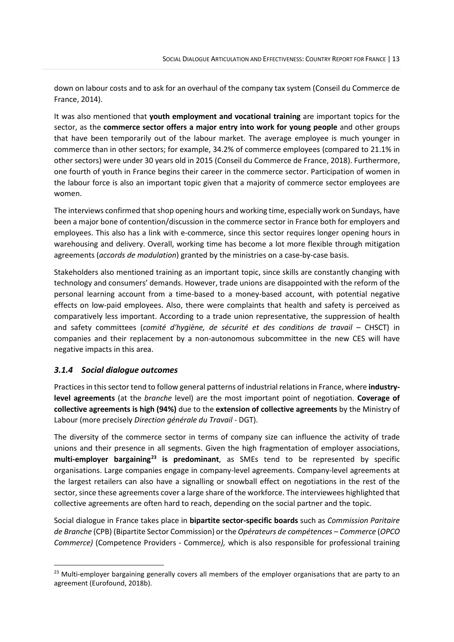down on labour costs and to ask for an overhaul of the company tax system (Conseil du Commerce de France, 2014).

It was also mentioned that **youth employment and vocational training** are important topics for the sector, as the **commerce sector offers a major entry into work for young people** and other groups that have been temporarily out of the labour market. The average employee is much younger in commerce than in other sectors; for example, 34.2% of commerce employees (compared to 21.1% in other sectors) were under 30 years old in 2015 (Conseil du Commerce de France, 2018). Furthermore, one fourth of youth in France begins their career in the commerce sector. Participation of women in the labour force is also an important topic given that a majority of commerce sector employees are women.

The interviews confirmed that shop opening hours and working time, especially work on Sundays, have been a major bone of contention/discussion in the commerce sector in France both for employers and employees. This also has a link with e-commerce, since this sector requires longer opening hours in warehousing and delivery. Overall, working time has become a lot more flexible through mitigation agreements (*accords de modulation*) granted by the ministries on a case-by-case basis.

Stakeholders also mentioned training as an important topic, since skills are constantly changing with technology and consumers' demands. However, trade unions are disappointed with the reform of the personal learning account from a time-based to a money-based account, with potential negative effects on low-paid employees. Also, there were complaints that health and safety is perceived as comparatively less important. According to a trade union representative, the suppression of health and safety committees (*comité d'hygiène, de sécurité et des conditions de travail –* CHSCT) in companies and their replacement by a non-autonomous subcommittee in the new CES will have negative impacts in this area.

# <span id="page-19-0"></span>*3.1.4 Social dialogue outcomes*

Practices in this sector tend to follow general patterns of industrial relations in France, where **industrylevel agreements** (at the *branche* level) are the most important point of negotiation. **Coverage of collective agreements is high (94%)** due to the **extension of collective agreements** by the Ministry of Labour (more precisely *Direction générale du Travail* - DGT).

The diversity of the commerce sector in terms of company size can influence the activity of trade unions and their presence in all segments. Given the high fragmentation of employer associations, **multi-employer bargaining[23](#page-19-1) is predominant**, as SMEs tend to be represented by specific organisations. Large companies engage in company-level agreements. Company-level agreements at the largest retailers can also have a signalling or snowball effect on negotiations in the rest of the sector, since these agreements cover a large share of the workforce. The interviewees highlighted that collective agreements are often hard to reach, depending on the social partner and the topic.

Social dialogue in France takes place in **bipartite sector-specific boards** such as *Commission Paritaire de Branche* (CPB) (Bipartite Sector Commission) or the *Opérateurs de compétences – Commerce* (*OPCO Commerce)* (Competence Providers - Commerce*),* which is also responsible for professional training

<span id="page-19-1"></span><sup>&</sup>lt;sup>23</sup> Multi-employer bargaining generally covers all members of the employer organisations that are party to an agreement (Eurofound, 2018b).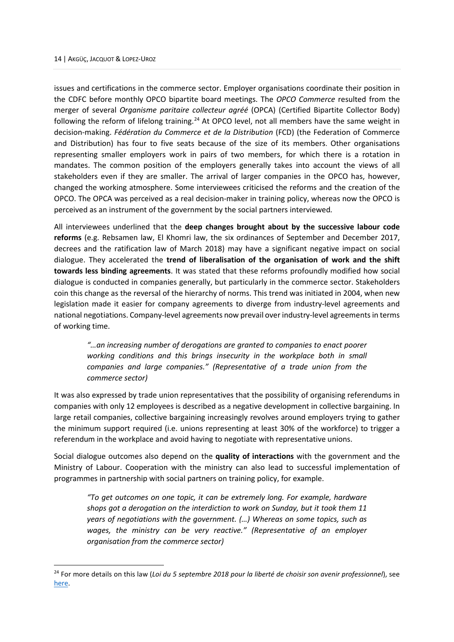issues and certifications in the commerce sector. Employer organisations coordinate their position in the CDFC before monthly OPCO bipartite board meetings. The *OPCO Commerce* resulted from the merger of several *Organisme paritaire collecteur agréé* (OPCA) (Certified Bipartite Collector Body) following the reform of lifelong training.<sup>[24](#page-20-0)</sup> At OPCO level, not all members have the same weight in decision-making. *Fédération du Commerce et de la Distribution* (FCD) (the Federation of Commerce and Distribution) has four to five seats because of the size of its members. Other organisations representing smaller employers work in pairs of two members, for which there is a rotation in mandates. The common position of the employers generally takes into account the views of all stakeholders even if they are smaller. The arrival of larger companies in the OPCO has, however, changed the working atmosphere. Some interviewees criticised the reforms and the creation of the OPCO. The OPCA was perceived as a real decision-maker in training policy, whereas now the OPCO is perceived as an instrument of the government by the social partners interviewed*.*

All interviewees underlined that the **deep changes brought about by the successive labour code reforms** (e.g. Rebsamen law, El Khomri law, the six ordinances of September and December 2017, decrees and the ratification law of March 2018) may have a significant negative impact on social dialogue. They accelerated the **trend of liberalisation of the organisation of work and the shift towards less binding agreements**. It was stated that these reforms profoundly modified how social dialogue is conducted in companies generally, but particularly in the commerce sector. Stakeholders coin this change as the reversal of the hierarchy of norms. This trend was initiated in 2004, when new legislation made it easier for company agreements to diverge from industry-level agreements and national negotiations. Company-level agreements now prevail over industry-level agreements in terms of working time.

*"…an increasing number of derogations are granted to companies to enact poorer working conditions and this brings insecurity in the workplace both in small companies and large companies." (Representative of a trade union from the commerce sector)* 

It was also expressed by trade union representatives that the possibility of organising referendums in companies with only 12 employees is described as a negative development in collective bargaining. In large retail companies, collective bargaining increasingly revolves around employers trying to gather the minimum support required (i.e. unions representing at least 30% of the workforce) to trigger a referendum in the workplace and avoid having to negotiate with representative unions.

Social dialogue outcomes also depend on the **quality of interactions** with the government and the Ministry of Labour. Cooperation with the ministry can also lead to successful implementation of programmes in partnership with social partners on training policy, for example.

*"To get outcomes on one topic, it can be extremely long. For example, hardware shops got a derogation on the interdiction to work on Sunday, but it took them 11 years of negotiations with the government. (…) Whereas on some topics, such as wages, the ministry can be very reactive." (Representative of an employer organisation from the commerce sector)* 

<span id="page-20-0"></span><sup>24</sup> For more details on this law (*Loi du 5 septembre 2018 pour la liberté de choisir son avenir professionnel*), see [here.](https://www.legifrance.gouv.fr/affichTexte.do?cidTexte=JORFTEXT000037367660&categorieLien=id)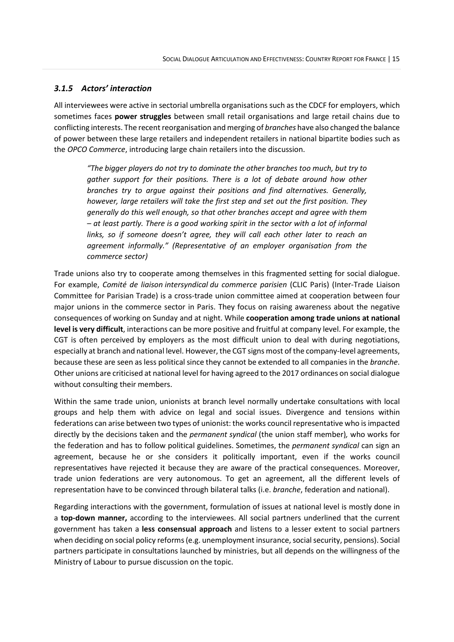# <span id="page-21-0"></span>*3.1.5 Actors' interaction*

All interviewees were active in sectorial umbrella organisations such as the CDCF for employers, which sometimes faces **power struggles** between small retail organisations and large retail chains due to conflicting interests. The recent reorganisation and merging of *branches* have also changed the balance of power between these large retailers and independent retailers in national bipartite bodies such as the *OPCO Commerce*, introducing large chain retailers into the discussion.

*"The bigger players do not try to dominate the other branches too much, but try to gather support for their positions. There is a lot of debate around how other branches try to argue against their positions and find alternatives. Generally, however, large retailers will take the first step and set out the first position. They generally do this well enough, so that other branches accept and agree with them – at least partly. There is a good working spirit in the sector with a lot of informal links, so if someone doesn't agree, they will call each other later to reach an agreement informally." (Representative of an employer organisation from the commerce sector)* 

Trade unions also try to cooperate among themselves in this fragmented setting for social dialogue. For example, *Comité de liaison intersyndical du commerce parisien* (CLIC Paris) (Inter-Trade Liaison Committee for Parisian Trade) is a cross-trade union committee aimed at cooperation between four major unions in the commerce sector in Paris. They focus on raising awareness about the negative consequences of working on Sunday and at night. While **cooperation among trade unions at national level is very difficult**, interactions can be more positive and fruitful at company level. For example, the CGT is often perceived by employers as the most difficult union to deal with during negotiations, especially at branch and national level. However, the CGT signs most of the company-level agreements, because these are seen as less political since they cannot be extended to all companies in the *branche*. Other unions are criticised at national level for having agreed to the 2017 ordinances on social dialogue without consulting their members.

Within the same trade union, unionists at branch level normally undertake consultations with local groups and help them with advice on legal and social issues. Divergence and tensions within federations can arise between two types of unionist: the works council representative who is impacted directly by the decisions taken and the *permanent syndical* (the union staff member)*,* who works for the federation and has to follow political guidelines. Sometimes, the *permanent syndical* can sign an agreement, because he or she considers it politically important, even if the works council representatives have rejected it because they are aware of the practical consequences. Moreover, trade union federations are very autonomous. To get an agreement, all the different levels of representation have to be convinced through bilateral talks (i.e. *branche*, federation and national).

Regarding interactions with the government, formulation of issues at national level is mostly done in a **top-down manner,** according to the interviewees. All social partners underlined that the current government has taken a **less consensual approach** and listens to a lesser extent to social partners when deciding on social policy reforms (e.g. unemployment insurance, social security, pensions). Social partners participate in consultations launched by ministries, but all depends on the willingness of the Ministry of Labour to pursue discussion on the topic.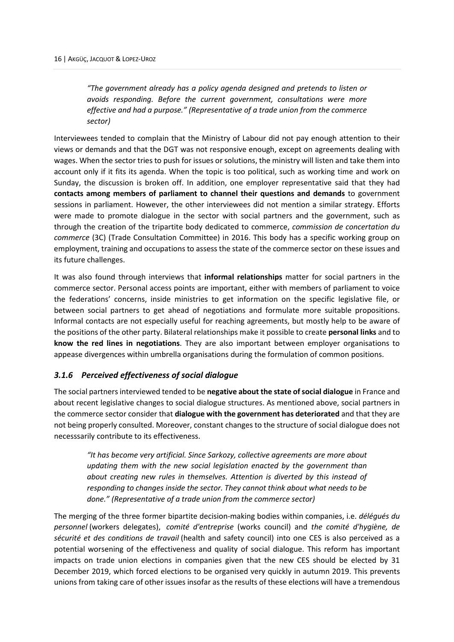*"The government already has a policy agenda designed and pretends to listen or avoids responding. Before the current government, consultations were more effective and had a purpose." (Representative of a trade union from the commerce sector)*

Interviewees tended to complain that the Ministry of Labour did not pay enough attention to their views or demands and that the DGT was not responsive enough, except on agreements dealing with wages. When the sector tries to push for issues or solutions, the ministry will listen and take them into account only if it fits its agenda. When the topic is too political, such as working time and work on Sunday, the discussion is broken off. In addition, one employer representative said that they had **contacts among members of parliament to channel their questions and demands** to government sessions in parliament. However, the other interviewees did not mention a similar strategy. Efforts were made to promote dialogue in the sector with social partners and the government, such as through the creation of the tripartite body dedicated to commerce, *commission de concertation du commerce* (3C) (Trade Consultation Committee) in 2016. This body has a specific working group on employment, training and occupations to assess the state of the commerce sector on these issues and its future challenges.

It was also found through interviews that **informal relationships** matter for social partners in the commerce sector. Personal access points are important, either with members of parliament to voice the federations' concerns, inside ministries to get information on the specific legislative file, or between social partners to get ahead of negotiations and formulate more suitable propositions. Informal contacts are not especially useful for reaching agreements, but mostly help to be aware of the positions of the other party. Bilateral relationships make it possible to create **personal links** and to **know the red lines in negotiations**. They are also important between employer organisations to appease divergences within umbrella organisations during the formulation of common positions.

# <span id="page-22-0"></span>*3.1.6 Perceived effectiveness of social dialogue*

The social partners interviewed tended to be **negative about the state of social dialogue** in France and about recent legislative changes to social dialogue structures. As mentioned above, social partners in the commerce sector consider that **dialogue with the government has deteriorated** and that they are not being properly consulted. Moreover, constant changes to the structure of social dialogue does not necesssarily contribute to its effectiveness.

*"It has become very artificial. Since Sarkozy, collective agreements are more about updating them with the new social legislation enacted by the government than about creating new rules in themselves. Attention is diverted by this instead of responding to changes inside the sector. They cannot think about what needs to be done." (Representative of a trade union from the commerce sector)*

The merging of the three former bipartite decision-making bodies within companies, i.e. *délégués du personnel* (workers delegates), *comité d'entreprise* (works council) and *the comité d'hygiène, de sécurité et des conditions de travail* (health and safety council) into one CES is also perceived as a potential worsening of the effectiveness and quality of social dialogue. This reform has important impacts on trade union elections in companies given that the new CES should be elected by 31 December 2019, which forced elections to be organised very quickly in autumn 2019. This prevents unions from taking care of other issues insofar as the results of these elections will have a tremendous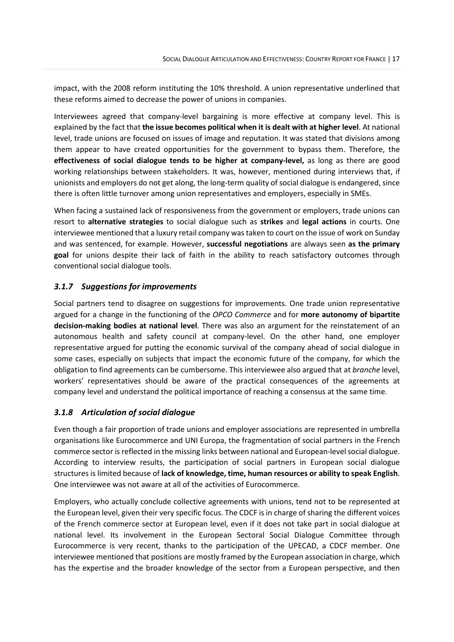impact, with the 2008 reform instituting the 10% threshold. A union representative underlined that these reforms aimed to decrease the power of unions in companies.

Interviewees agreed that company-level bargaining is more effective at company level. This is explained by the fact that **the issue becomes political when it is dealt with at higher level**. At national level, trade unions are focused on issues of image and reputation. It was stated that divisions among them appear to have created opportunities for the government to bypass them. Therefore, the **effectiveness of social dialogue tends to be higher at company-level,** as long as there are good working relationships between stakeholders. It was, however, mentioned during interviews that, if unionists and employers do not get along, the long-term quality of social dialogue is endangered, since there is often little turnover among union representatives and employers, especially in SMEs.

When facing a sustained lack of responsiveness from the government or employers, trade unions can resort to **alternative strategies** to social dialogue such as **strikes** and **legal actions** in courts. One interviewee mentioned that a luxury retail company was taken to court on the issue of work on Sunday and was sentenced, for example. However, **successful negotiations** are always seen **as the primary goal** for unions despite their lack of faith in the ability to reach satisfactory outcomes through conventional social dialogue tools.

# <span id="page-23-0"></span>*3.1.7 Suggestions for improvements*

Social partners tend to disagree on suggestions for improvements. One trade union representative argued for a change in the functioning of the *OPCO Commerce* and for **more autonomy of bipartite decision-making bodies at national level**. There was also an argument for the reinstatement of an autonomous health and safety council at company-level. On the other hand, one employer representative argued for putting the economic survival of the company ahead of social dialogue in some cases, especially on subjects that impact the economic future of the company, for which the obligation to find agreements can be cumbersome. This interviewee also argued that at *branche* level, workers' representatives should be aware of the practical consequences of the agreements at company level and understand the political importance of reaching a consensus at the same time.

# <span id="page-23-1"></span>*3.1.8 Articulation of social dialogue*

Even though a fair proportion of trade unions and employer associations are represented in umbrella organisations like Eurocommerce and UNI Europa, the fragmentation of social partners in the French commerce sector is reflected in the missing links between national and European-level social dialogue. According to interview results, the participation of social partners in European social dialogue structures is limited because of **lack of knowledge, time, human resources or ability to speak English**. One interviewee was not aware at all of the activities of Eurocommerce.

Employers, who actually conclude collective agreements with unions, tend not to be represented at the European level, given their very specific focus. The CDCF is in charge of sharing the different voices of the French commerce sector at European level, even if it does not take part in social dialogue at national level. Its involvement in the European Sectoral Social Dialogue Committee through Eurocommerce is very recent, thanks to the participation of the UPECAD, a CDCF member. One interviewee mentioned that positions are mostly framed by the European association in charge, which has the expertise and the broader knowledge of the sector from a European perspective, and then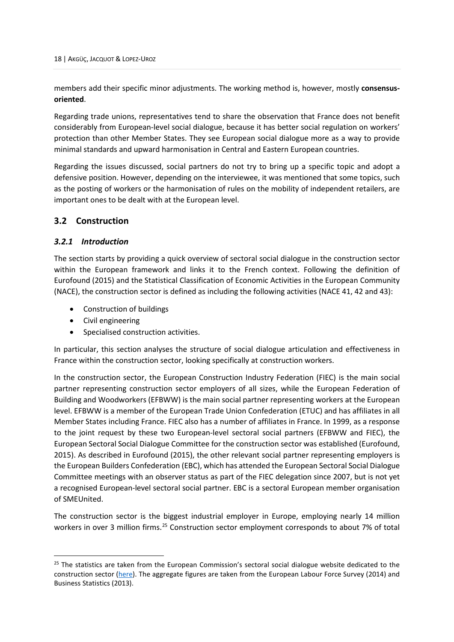members add their specific minor adjustments. The working method is, however, mostly **consensusoriented**.

Regarding trade unions, representatives tend to share the observation that France does not benefit considerably from European-level social dialogue, because it has better social regulation on workers' protection than other Member States. They see European social dialogue more as a way to provide minimal standards and upward harmonisation in Central and Eastern European countries.

Regarding the issues discussed, social partners do not try to bring up a specific topic and adopt a defensive position. However, depending on the interviewee, it was mentioned that some topics, such as the posting of workers or the harmonisation of rules on the mobility of independent retailers, are important ones to be dealt with at the European level.

# <span id="page-24-0"></span>**3.2 Construction**

# <span id="page-24-1"></span>*3.2.1 Introduction*

The section starts by providing a quick overview of sectoral social dialogue in the construction sector within the European framework and links it to the French context. Following the definition of Eurofound (2015) and the Statistical Classification of Economic Activities in the European Community (NACE), the construction sector is defined as including the following activities (NACE 41, 42 and 43):

- Construction of buildings
- Civil engineering
- Specialised construction activities.

In particular, this section analyses the structure of social dialogue articulation and effectiveness in France within the construction sector, looking specifically at construction workers.

In the construction sector, the European Construction Industry Federation (FIEC) is the main social partner representing construction sector employers of all sizes, while the European Federation of Building and Woodworkers (EFBWW) is the main social partner representing workers at the European level. EFBWW is a member of the European Trade Union Confederation (ETUC) and has affiliates in all Member States including France. FIEC also has a number of affiliates in France. In 1999, as a response to the joint request by these two European-level sectoral social partners (EFBWW and FIEC), the European Sectoral Social Dialogue Committee for the construction sector was established (Eurofound, 2015). As described in Eurofound (2015), the other relevant social partner representing employers is the European Builders Confederation (EBC), which has attended the European Sectoral Social Dialogue Committee meetings with an observer status as part of the FIEC delegation since 2007, but is not yet a recognised European-level sectoral social partner. EBC is a sectoral European member organisation of SMEUnited.

The construction sector is the biggest industrial employer in Europe, employing nearly 14 million workers in over 3 million firms.<sup>[25](#page-24-2)</sup> Construction sector employment corresponds to about 7% of total

<span id="page-24-2"></span><sup>&</sup>lt;sup>25</sup> The statistics are taken from the European Commission's sectoral social dialogue website dedicated to the construction sector [\(here\)](https://ec.europa.eu/social/main.jsp?catId=480&langId=en&intPageId=1831). The aggregate figures are taken from the European Labour Force Survey (2014) and Business Statistics (2013).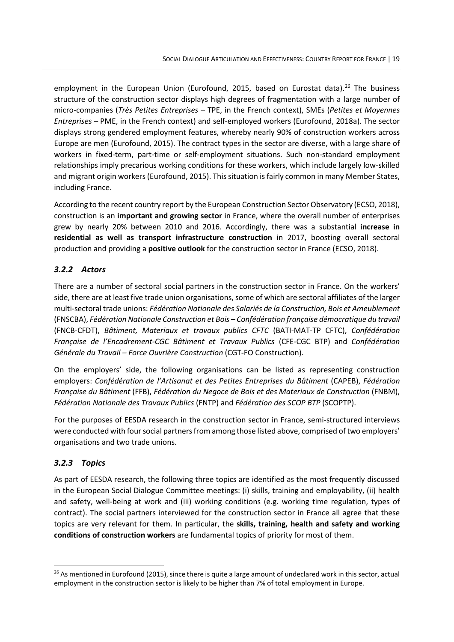employment in the European Union (Eurofound, 2015, based on Eurostat data).<sup>[26](#page-25-2)</sup> The business structure of the construction sector displays high degrees of fragmentation with a large number of micro-companies (*Très Petites Entreprises* – TPE, in the French context), SMEs (*Petites et Moyennes Entreprises* – PME, in the French context) and self-employed workers (Eurofound, 2018a). The sector displays strong gendered employment features, whereby nearly 90% of construction workers across Europe are men (Eurofound, 2015). The contract types in the sector are diverse, with a large share of workers in fixed-term, part-time or self-employment situations. Such non-standard employment relationships imply precarious working conditions for these workers, which include largely low-skilled and migrant origin workers(Eurofound, 2015). This situation is fairly common in many Member States, including France.

According to the recent country report by the European Construction Sector Observatory (ECSO, 2018), construction is an **important and growing sector** in France, where the overall number of enterprises grew by nearly 20% between 2010 and 2016. Accordingly, there was a substantial **increase in residential as well as transport infrastructure construction** in 2017, boosting overall sectoral production and providing a **positive outlook** for the construction sector in France (ECSO, 2018).

# <span id="page-25-0"></span>*3.2.2 Actors*

There are a number of sectoral social partners in the construction sector in France. On the workers' side, there are at least five trade union organisations, some of which are sectoral affiliates of the larger multi-sectoral trade unions: *Fédération Nationale des Salariés de la Construction, Bois et Ameublement* (FNSCBA), *Fédération Nationale Construction et Bois – Confédération française démocratique du travail* (FNCB-CFDT), *Bâtiment, Materiaux et travaux publics CFTC* (BATI-MAT-TP CFTC), *Confédération Française de l'Encadrement-CGC Bâtiment et Travaux Publics* (CFE-CGC BTP) and *Confédération Générale du Travail – Force Ouvrière Construction* (CGT-FO Construction).

On the employers' side, the following organisations can be listed as representing construction employers: *Confédération de l'Artisanat et des Petites Entreprises du Bâtiment* (CAPEB), *Fédération Française du Bâtiment* (FFB), *Fédération du Negoce de Bois et des Materiaux de Construction* (FNBM), *Fédération Nationale des Travaux Publics* (FNTP) and *Fédération des SCOP BTP* (SCOPTP).

For the purposes of EESDA research in the construction sector in France, semi-structured interviews were conducted with four social partners from among those listed above, comprised of two employers' organisations and two trade unions.

# <span id="page-25-1"></span>*3.2.3 Topics*

As part of EESDA research, the following three topics are identified as the most frequently discussed in the European Social Dialogue Committee meetings: (i) skills, training and employability, (ii) health and safety, well-being at work and (iii) working conditions (e.g. working time regulation, types of contract). The social partners interviewed for the construction sector in France all agree that these topics are very relevant for them. In particular, the **skills, training, health and safety and working conditions of construction workers** are fundamental topics of priority for most of them.

<span id="page-25-2"></span><sup>&</sup>lt;sup>26</sup> As mentioned in Eurofound (2015), since there is quite a large amount of undeclared work in this sector, actual employment in the construction sector is likely to be higher than 7% of total employment in Europe.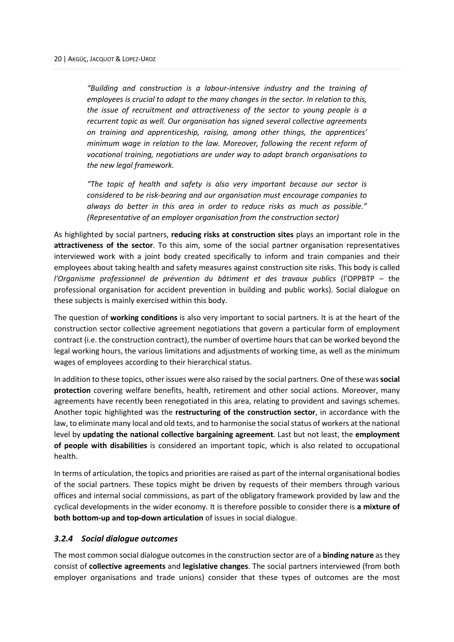*"Building and construction is a labour-intensive industry and the training of employees is crucial to adapt to the many changes in the sector. In relation to this, the issue of recruitment and attractiveness of the sector to young people is a recurrent topic as well. Our organisation has signed several collective agreements on training and apprenticeship, raising, among other things, the apprentices' minimum wage in relation to the law. Moreover, following the recent reform of vocational training, negotiations are under way to adapt branch organisations to the new legal framework.*

*"The topic of health and safety is also very important because our sector is considered to be risk-bearing and our organisation must encourage companies to always do better in this area in order to reduce risks as much as possible." (Representative of an employer organisation from the construction sector)* 

As highlighted by social partners, **reducing risks at construction sites** plays an important role in the **attractiveness of the sector**. To this aim, some of the social partner organisation representatives interviewed work with a joint body created specifically to inform and train companies and their employees about taking health and safety measures against construction site risks. This body is called *l'Organisme professionnel de prévention du bâtiment et des travaux publics* (l'OPPBTP – the professional organisation for accident prevention in building and public works). Social dialogue on these subjects is mainly exercised within this body.

The question of **working conditions** is also very important to social partners. It is at the heart of the construction sector collective agreement negotiations that govern a particular form of employment contract (i.e. the construction contract), the number of overtime hours that can be worked beyond the legal working hours, the various limitations and adjustments of working time, as well as the minimum wages of employees according to their hierarchical status.

In addition to these topics, other issues were also raised by the social partners. One of these was**social protection** covering welfare benefits, health, retirement and other social actions. Moreover, many agreements have recently been renegotiated in this area, relating to provident and savings schemes. Another topic highlighted was the **restructuring of the construction sector**, in accordance with the law, to eliminate many local and old texts, and to harmonise the social status of workers at the national level by **updating the national collective bargaining agreement**. Last but not least, the **employment of people with disabilities** is considered an important topic, which is also related to occupational health.

In terms of articulation, the topics and priorities are raised as part of the internal organisational bodies of the social partners. These topics might be driven by requests of their members through various offices and internal social commissions, as part of the obligatory framework provided by law and the cyclical developments in the wider economy. It is therefore possible to consider there is **a mixture of both bottom-up and top-down articulation** of issues in social dialogue.

# <span id="page-26-0"></span>*3.2.4 Social dialogue outcomes*

The most common social dialogue outcomes in the construction sector are of a **binding nature** as they consist of **collective agreements** and **legislative changes**. The social partners interviewed (from both employer organisations and trade unions) consider that these types of outcomes are the most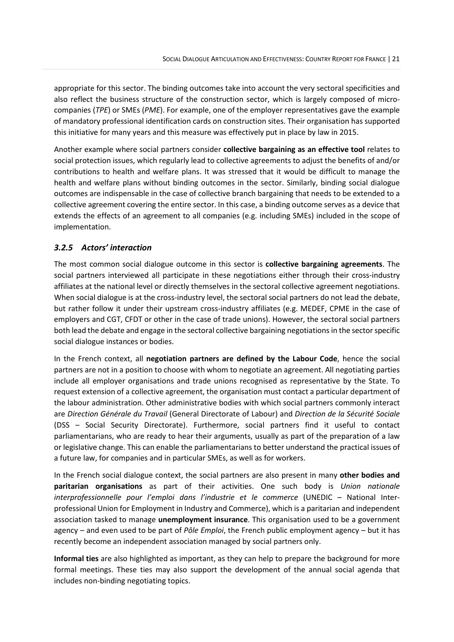appropriate for this sector. The binding outcomes take into account the very sectoral specificities and also reflect the business structure of the construction sector, which is largely composed of microcompanies (*TPE*) or SMEs (*PME*). For example, one of the employer representatives gave the example of mandatory professional identification cards on construction sites. Their organisation has supported this initiative for many years and this measure was effectively put in place by law in 2015.

Another example where social partners consider **collective bargaining as an effective tool** relates to social protection issues, which regularly lead to collective agreements to adjust the benefits of and/or contributions to health and welfare plans. It was stressed that it would be difficult to manage the health and welfare plans without binding outcomes in the sector. Similarly, binding social dialogue outcomes are indispensable in the case of collective branch bargaining that needs to be extended to a collective agreement covering the entire sector. In this case, a binding outcome serves as a device that extends the effects of an agreement to all companies (e.g. including SMEs) included in the scope of implementation.

# <span id="page-27-0"></span>*3.2.5 Actors' interaction*

The most common social dialogue outcome in this sector is **collective bargaining agreements**. The social partners interviewed all participate in these negotiations either through their cross-industry affiliates at the national level or directly themselves in the sectoral collective agreement negotiations. When social dialogue is at the cross-industry level, the sectoral social partners do not lead the debate, but rather follow it under their upstream cross-industry affiliates (e.g. MEDEF, CPME in the case of employers and CGT, CFDT or other in the case of trade unions). However, the sectoral social partners both lead the debate and engage in the sectoral collective bargaining negotiations in the sector specific social dialogue instances or bodies.

In the French context, all **negotiation partners are defined by the Labour Code**, hence the social partners are not in a position to choose with whom to negotiate an agreement. All negotiating parties include all employer organisations and trade unions recognised as representative by the State. To request extension of a collective agreement, the organisation must contact a particular department of the labour administration. Other administrative bodies with which social partners commonly interact are *Direction Générale du Travail* (General Directorate of Labour) and *Direction de la Sécurité Sociale* (DSS – Social Security Directorate). Furthermore, social partners find it useful to contact parliamentarians, who are ready to hear their arguments, usually as part of the preparation of a law or legislative change. This can enable the parliamentarians to better understand the practical issues of a future law, for companies and in particular SMEs, as well as for workers.

In the French social dialogue context, the social partners are also present in many **other bodies and paritarian organisations** as part of their activities. One such body is *Union nationale interprofessionnelle pour l'emploi dans l'industrie et le commerce* (UNEDIC – National Interprofessional Union for Employment in Industry and Commerce), which is a paritarian and independent association tasked to manage **unemployment insurance**. This organisation used to be a government agency – and even used to be part of *Pôle Emploi*, the French public employment agency – but it has recently become an independent association managed by social partners only.

**Informal ties** are also highlighted as important, as they can help to prepare the background for more formal meetings. These ties may also support the development of the annual social agenda that includes non-binding negotiating topics.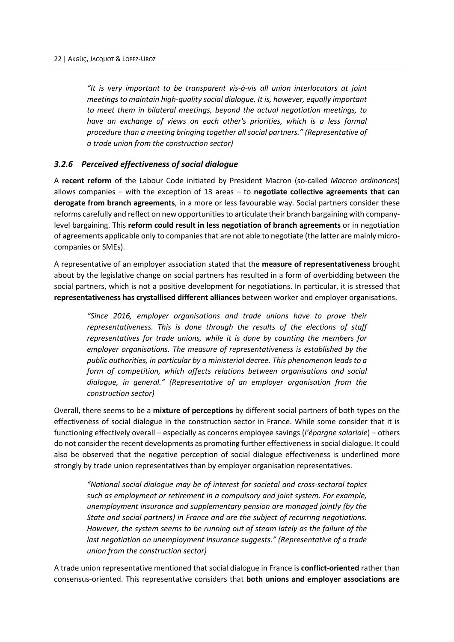*"It is very important to be transparent vis-à-vis all union interlocutors at joint meetings to maintain high-quality social dialogue. It is, however, equally important to meet them in bilateral meetings, beyond the actual negotiation meetings, to have an exchange of views on each other's priorities, which is a less formal procedure than a meeting bringing together all social partners." (Representative of a trade union from the construction sector)* 

# <span id="page-28-0"></span>*3.2.6 Perceived effectiveness of social dialogue*

A **recent reform** of the Labour Code initiated by President Macron (so-called *Macron ordinances*) allows companies – with the exception of 13 areas – to **negotiate collective agreements that can derogate from branch agreements**, in a more or less favourable way. Social partners consider these reforms carefully and reflect on new opportunities to articulate their branch bargaining with companylevel bargaining. This **reform could result in less negotiation of branch agreements** or in negotiation of agreements applicable only to companies that are not able to negotiate (the latter are mainly microcompanies or SMEs).

A representative of an employer association stated that the **measure of representativeness** brought about by the legislative change on social partners has resulted in a form of overbidding between the social partners, which is not a positive development for negotiations. In particular, it is stressed that **representativeness has crystallised different alliances** between worker and employer organisations.

*"Since 2016, employer organisations and trade unions have to prove their representativeness. This is done through the results of the elections of staff representatives for trade unions, while it is done by counting the members for employer organisations. The measure of representativeness is established by the public authorities, in particular by a ministerial decree. This phenomenon leads to a form of competition, which affects relations between organisations and social dialogue, in general." (Representative of an employer organisation from the construction sector)*

Overall, there seems to be a **mixture of perceptions** by different social partners of both types on the effectiveness of social dialogue in the construction sector in France. While some consider that it is functioning effectively overall – especially as concerns employee savings (*l'épargne salariale*) – others do not consider the recent developments as promoting further effectiveness in social dialogue. It could also be observed that the negative perception of social dialogue effectiveness is underlined more strongly by trade union representatives than by employer organisation representatives.

*"National social dialogue may be of interest for societal and cross-sectoral topics such as employment or retirement in a compulsory and joint system. For example, unemployment insurance and supplementary pension are managed jointly (by the State and social partners) in France and are the subject of recurring negotiations. However, the system seems to be running out of steam lately as the failure of the last negotiation on unemployment insurance suggests." (Representative of a trade union from the construction sector)*

A trade union representative mentioned that social dialogue in France is **conflict-oriented** rather than consensus-oriented. This representative considers that **both unions and employer associations are**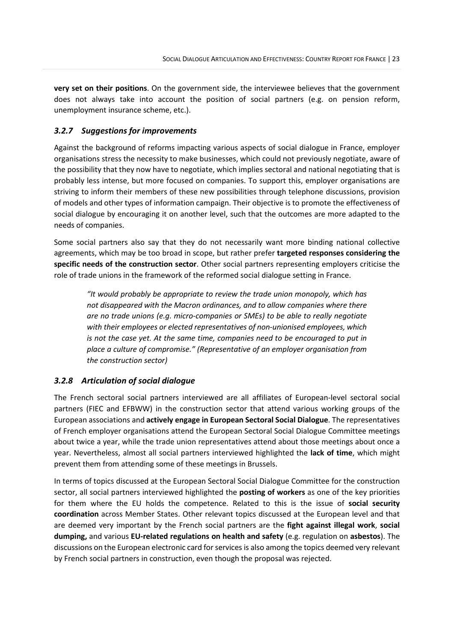**very set on their positions**. On the government side, the interviewee believes that the government does not always take into account the position of social partners (e.g. on pension reform, unemployment insurance scheme, etc.).

# <span id="page-29-0"></span>*3.2.7 Suggestions for improvements*

Against the background of reforms impacting various aspects of social dialogue in France, employer organisations stress the necessity to make businesses, which could not previously negotiate, aware of the possibility that they now have to negotiate, which implies sectoral and national negotiating that is probably less intense, but more focused on companies. To support this, employer organisations are striving to inform their members of these new possibilities through telephone discussions, provision of models and other types of information campaign. Their objective is to promote the effectiveness of social dialogue by encouraging it on another level, such that the outcomes are more adapted to the needs of companies.

Some social partners also say that they do not necessarily want more binding national collective agreements, which may be too broad in scope, but rather prefer **targeted responses considering the specific needs of the construction sector**. Other social partners representing employers criticise the role of trade unions in the framework of the reformed social dialogue setting in France.

*"It would probably be appropriate to review the trade union monopoly, which has not disappeared with the Macron ordinances, and to allow companies where there are no trade unions (e.g. micro-companies or SMEs) to be able to really negotiate with their employees or elected representatives of non-unionised employees, which is not the case yet. At the same time, companies need to be encouraged to put in place a culture of compromise." (Representative of an employer organisation from the construction sector)* 

# <span id="page-29-1"></span>*3.2.8 Articulation of social dialogue*

The French sectoral social partners interviewed are all affiliates of European-level sectoral social partners (FIEC and EFBWW) in the construction sector that attend various working groups of the European associations and **actively engage in European Sectoral Social Dialogue**. The representatives of French employer organisations attend the European Sectoral Social Dialogue Committee meetings about twice a year, while the trade union representatives attend about those meetings about once a year. Nevertheless, almost all social partners interviewed highlighted the **lack of time**, which might prevent them from attending some of these meetings in Brussels.

In terms of topics discussed at the European Sectoral Social Dialogue Committee for the construction sector, all social partners interviewed highlighted the **posting of workers** as one of the key priorities for them where the EU holds the competence. Related to this is the issue of **social security coordination** across Member States. Other relevant topics discussed at the European level and that are deemed very important by the French social partners are the **fight against illegal work**, **social dumping,** and various **EU-related regulations on health and safety** (e.g. regulation on **asbestos**). The discussions on the European electronic card for services is also among the topics deemed very relevant by French social partners in construction, even though the proposal was rejected.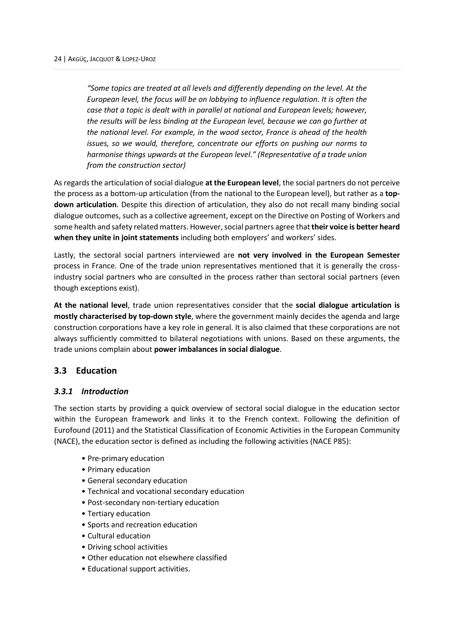*"Some topics are treated at all levels and differently depending on the level. At the European level, the focus will be on lobbying to influence regulation. It is often the case that a topic is dealt with in parallel at national and European levels; however, the results will be less binding at the European level, because we can go further at the national level. For example, in the wood sector, France is ahead of the health issues, so we would, therefore, concentrate our efforts on pushing our norms to harmonise things upwards at the European level." (Representative of a trade union from the construction sector)* 

As regards the articulation of social dialogue **at the European level**, the social partners do not perceive the process as a bottom-up articulation (from the national to the European level), but rather as a **topdown articulation**. Despite this direction of articulation, they also do not recall many binding social dialogue outcomes, such as a collective agreement, except on the Directive on Posting of Workers and some health and safety related matters. However, social partners agree that **their voice is better heard when they unite in joint statements** including both employers' and workers' sides.

Lastly, the sectoral social partners interviewed are **not very involved in the European Semester** process in France. One of the trade union representatives mentioned that it is generally the crossindustry social partners who are consulted in the process rather than sectoral social partners (even though exceptions exist).

**At the national level**, trade union representatives consider that the **social dialogue articulation is mostly characterised by top-down style**, where the government mainly decides the agenda and large construction corporations have a key role in general. It is also claimed that these corporations are not always sufficiently committed to bilateral negotiations with unions. Based on these arguments, the trade unions complain about **power imbalances in social dialogue**.

# <span id="page-30-0"></span>**3.3 Education**

# <span id="page-30-1"></span>*3.3.1 Introduction*

The section starts by providing a quick overview of sectoral social dialogue in the education sector within the European framework and links it to the French context. Following the definition of Eurofound (2011) and the Statistical Classification of Economic Activities in the European Community (NACE), the education sector is defined as including the following activities (NACE P85):

- Pre-primary education
- Primary education
- General secondary education
- Technical and vocational secondary education
- Post-secondary non-tertiary education
- Tertiary education
- Sports and recreation education
- Cultural education
- Driving school activities
- Other education not elsewhere classified
- Educational support activities.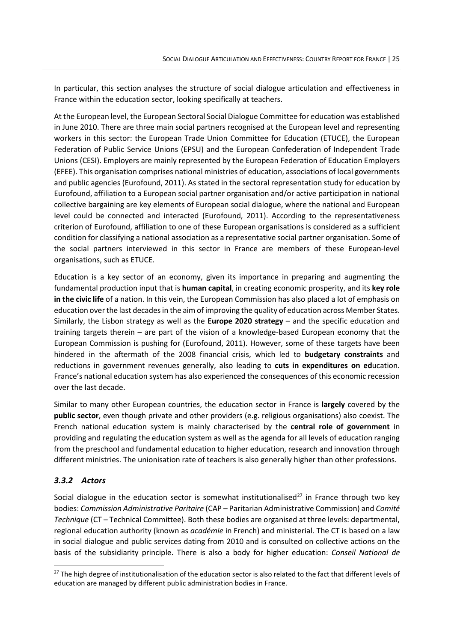In particular, this section analyses the structure of social dialogue articulation and effectiveness in France within the education sector, looking specifically at teachers.

At the European level, the European Sectoral Social Dialogue Committee for education was established in June 2010. There are three main social partners recognised at the European level and representing workers in this sector: the European Trade Union Committee for Education (ETUCE), the European Federation of Public Service Unions (EPSU) and the European Confederation of Independent Trade Unions (CESI). Employers are mainly represented by the European Federation of Education Employers (EFEE). This organisation comprises national ministries of education, associations of local governments and public agencies (Eurofound, 2011). As stated in the sectoral representation study for education by Eurofound, affiliation to a European social partner organisation and/or active participation in national collective bargaining are key elements of European social dialogue, where the national and European level could be connected and interacted (Eurofound, 2011). According to the representativeness criterion of Eurofound, affiliation to one of these European organisations is considered as a sufficient condition for classifying a national association as a representative social partner organisation. Some of the social partners interviewed in this sector in France are members of these European-level organisations, such as ETUCE.

Education is a key sector of an economy, given its importance in preparing and augmenting the fundamental production input that is **human capital**, in creating economic prosperity, and its **key role in the civic life** of a nation. In this vein, the European Commission has also placed a lot of emphasis on education over the last decades in the aim of improving the quality of education across Member States. Similarly, the Lisbon strategy as well as the **Europe 2020 strategy** – and the specific education and training targets therein – are part of the vision of a knowledge-based European economy that the European Commission is pushing for (Eurofound, 2011). However, some of these targets have been hindered in the aftermath of the 2008 financial crisis, which led to **budgetary constraints** and reductions in government revenues generally, also leading to **cuts in expenditures on ed**ucation. France's national education system has also experienced the consequences of this economic recession over the last decade.

Similar to many other European countries, the education sector in France is **largely** covered by the **public sector**, even though private and other providers (e.g. religious organisations) also coexist. The French national education system is mainly characterised by the **central role of government** in providing and regulating the education system as well as the agenda for all levels of education ranging from the preschool and fundamental education to higher education, research and innovation through different ministries. The unionisation rate of teachers is also generally higher than other professions.

# <span id="page-31-0"></span>*3.3.2 Actors*

Social dialogue in the education sector is somewhat institutionalised<sup>[27](#page-31-1)</sup> in France through two key bodies: *Commission Administrative Paritaire* (CAP – Paritarian Administrative Commission) and *Comité Technique* (CT – Technical Committee). Both these bodies are organised at three levels: departmental, regional education authority (known as *académie* in French) and ministerial. The CT is based on a law in social dialogue and public services dating from 2010 and is consulted on collective actions on the basis of the subsidiarity principle. There is also a body for higher education: *Conseil National de* 

<span id="page-31-1"></span> $27$  The high degree of institutionalisation of the education sector is also related to the fact that different levels of education are managed by different public administration bodies in France.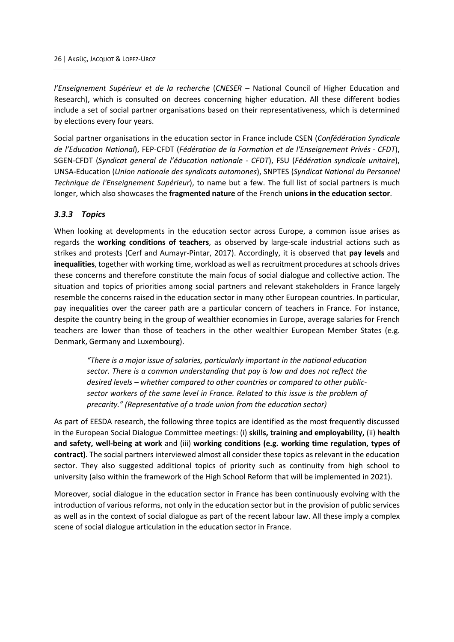*l'Enseignement Supérieur et de la recherche* (*CNESER* – National Council of Higher Education and Research), which is consulted on decrees concerning higher education. All these different bodies include a set of social partner organisations based on their representativeness, which is determined by elections every four years.

Social partner organisations in the education sector in France include CSEN (*Confédération Syndicale de l'Education National*), FEP-CFDT (*Fédération de la Formation et de l'Enseignement Privés - CFDT*), SGEN-CFDT (*Syndicat general de l'éducation nationale - CFDT*), FSU (*Fédération syndicale unitaire*), UNSA-Education (*Union nationale des syndicats automones*), SNPTES (*Syndicat National du Personnel Technique de l'Enseignement Supérieur*), to name but a few. The full list of social partners is much longer, which also showcases the **fragmented nature** of the French **unions in the education sector**.

#### <span id="page-32-0"></span>*3.3.3 Topics*

When looking at developments in the education sector across Europe, a common issue arises as regards the **working conditions of teachers**, as observed by large-scale industrial actions such as strikes and protests (Cerf and Aumayr-Pintar, 2017). Accordingly, it is observed that **pay levels** and **inequalities**, together with working time, workload as well as recruitment procedures at schools drives these concerns and therefore constitute the main focus of social dialogue and collective action. The situation and topics of priorities among social partners and relevant stakeholders in France largely resemble the concerns raised in the education sector in many other European countries. In particular, pay inequalities over the career path are a particular concern of teachers in France. For instance, despite the country being in the group of wealthier economies in Europe, average salaries for French teachers are lower than those of teachers in the other wealthier European Member States (e.g. Denmark, Germany and Luxembourg).

*"There is a major issue of salaries, particularly important in the national education sector. There is a common understanding that pay is low and does not reflect the desired levels – whether compared to other countries or compared to other publicsector workers of the same level in France. Related to this issue is the problem of precarity." (Representative of a trade union from the education sector)* 

As part of EESDA research, the following three topics are identified as the most frequently discussed in the European Social Dialogue Committee meetings: (i) **skills, training and employability,** (ii) **health and safety, well-being at work** and (iii) **working conditions (e.g. working time regulation, types of contract)**. The social partners interviewed almost all consider these topics as relevant in the education sector. They also suggested additional topics of priority such as continuity from high school to university (also within the framework of the High School Reform that will be implemented in 2021).

Moreover, social dialogue in the education sector in France has been continuously evolving with the introduction of various reforms, not only in the education sector but in the provision of public services as well as in the context of social dialogue as part of the recent labour law. All these imply a complex scene of social dialogue articulation in the education sector in France.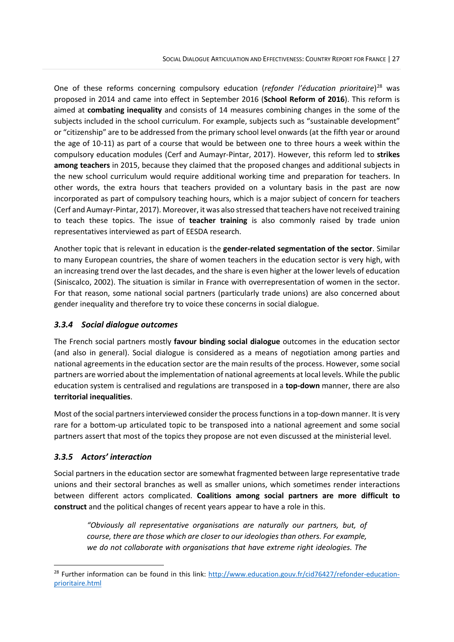One of these reforms concerning compulsory education (*refonder l'éducation prioritaire*) [28](#page-33-2) was proposed in 2014 and came into effect in September 2016 (**School Reform of 2016**). This reform is aimed at **combating inequality** and consists of 14 measures combining changes in the some of the subjects included in the school curriculum. For example, subjects such as "sustainable development" or "citizenship" are to be addressed from the primary school level onwards (at the fifth year or around the age of 10-11) as part of a course that would be between one to three hours a week within the compulsory education modules (Cerf and Aumayr-Pintar, 2017). However, this reform led to **strikes among teachers** in 2015, because they claimed that the proposed changes and additional subjects in the new school curriculum would require additional working time and preparation for teachers. In other words, the extra hours that teachers provided on a voluntary basis in the past are now incorporated as part of compulsory teaching hours, which is a major subject of concern for teachers (Cerf and Aumayr-Pintar, 2017). Moreover, it was also stressed that teachers have not received training to teach these topics. The issue of **teacher training** is also commonly raised by trade union representatives interviewed as part of EESDA research.

Another topic that is relevant in education is the **gender-related segmentation of the sector**. Similar to many European countries, the share of women teachers in the education sector is very high, with an increasing trend over the last decades, and the share is even higher at the lower levels of education (Siniscalco, 2002). The situation is similar in France with overrepresentation of women in the sector. For that reason, some national social partners (particularly trade unions) are also concerned about gender inequality and therefore try to voice these concerns in social dialogue.

# <span id="page-33-0"></span>*3.3.4 Social dialogue outcomes*

The French social partners mostly **favour binding social dialogue** outcomes in the education sector (and also in general). Social dialogue is considered as a means of negotiation among parties and national agreements in the education sector are the main results of the process. However, some social partners are worried about the implementation of national agreements at local levels. While the public education system is centralised and regulations are transposed in a **top-down** manner, there are also **territorial inequalities**.

Most of the social partnersinterviewed consider the process functionsin a top-down manner. It is very rare for a bottom-up articulated topic to be transposed into a national agreement and some social partners assert that most of the topics they propose are not even discussed at the ministerial level.

# <span id="page-33-1"></span>*3.3.5 Actors' interaction*

Social partners in the education sector are somewhat fragmented between large representative trade unions and their sectoral branches as well as smaller unions, which sometimes render interactions between different actors complicated. **Coalitions among social partners are more difficult to construct** and the political changes of recent years appear to have a role in this.

*"Obviously all representative organisations are naturally our partners, but, of course, there are those which are closer to our ideologies than others. For example, we do not collaborate with organisations that have extreme right ideologies. The* 

<span id="page-33-2"></span><sup>&</sup>lt;sup>28</sup> Further information can be found in this link: [http://www.education.gouv.fr/cid76427/refonder-education](http://www.education.gouv.fr/cid76427/refonder-education-prioritaire.html)[prioritaire.html](http://www.education.gouv.fr/cid76427/refonder-education-prioritaire.html)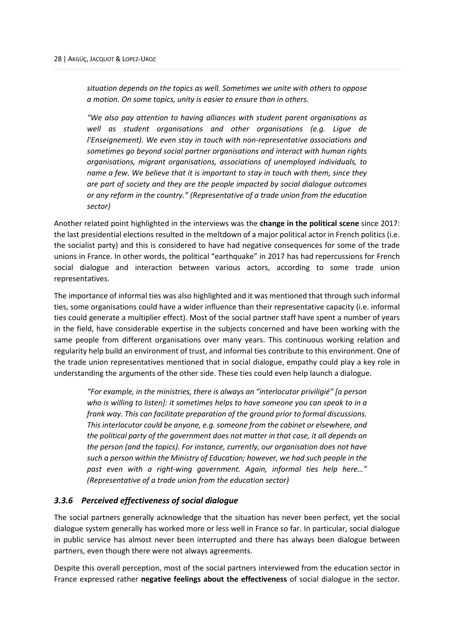*situation depends on the topics as well. Sometimes we unite with others to oppose a motion. On some topics, unity is easier to ensure than in others.* 

*"We also pay attention to having alliances with student parent organisations as well as student organisations and other organisations (e.g. Ligue de l'Enseignement). We even stay in touch with non-representative associations and sometimes go beyond social partner organisations and interact with human rights organisations, migrant organisations, associations of unemployed individuals, to name a few. We believe that it is important to stay in touch with them, since they are part of society and they are the people impacted by social dialogue outcomes or any reform in the country." (Representative of a trade union from the education sector)*

Another related point highlighted in the interviews was the **change in the political scene** since 2017: the last presidential elections resulted in the meltdown of a major political actor in French politics (i.e. the socialist party) and this is considered to have had negative consequences for some of the trade unions in France. In other words, the political "earthquake" in 2017 has had repercussions for French social dialogue and interaction between various actors, according to some trade union representatives.

The importance of informal ties was also highlighted and it was mentioned that through such informal ties, some organisations could have a wider influence than their representative capacity (i.e. informal ties could generate a multiplier effect). Most of the social partner staff have spent a number of years in the field, have considerable expertise in the subjects concerned and have been working with the same people from different organisations over many years. This continuous working relation and regularity help build an environment of trust, and informal ties contribute to this environment. One of the trade union representatives mentioned that in social dialogue, empathy could play a key role in understanding the arguments of the other side. These ties could even help launch a dialogue.

*"For example, in the ministries, there is always an "interlocutor priviligié" [a person who is willing to listen]: it sometimes helps to have someone you can speak to in a frank way. This can facilitate preparation of the ground prior to formal discussions. This interlocutor could be anyone, e.g. someone from the cabinet or elsewhere, and the political party of the government does not matter in that case, it all depends on the person (and the topics). For instance, currently, our organisation does not have such a person within the Ministry of Education; however, we had such people in the past even with a right-wing government. Again, informal ties help here…" (Representative of a trade union from the education sector)* 

# <span id="page-34-0"></span>*3.3.6 Perceived effectiveness of social dialogue*

The social partners generally acknowledge that the situation has never been perfect, yet the social dialogue system generally has worked more or less well in France so far. In particular, social dialogue in public service has almost never been interrupted and there has always been dialogue between partners, even though there were not always agreements.

Despite this overall perception, most of the social partners interviewed from the education sector in France expressed rather **negative feelings about the effectiveness** of social dialogue in the sector.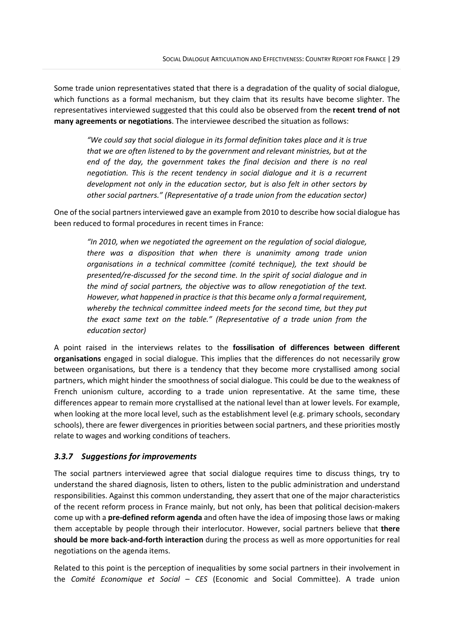Some trade union representatives stated that there is a degradation of the quality of social dialogue, which functions as a formal mechanism, but they claim that its results have become slighter. The representatives interviewed suggested that this could also be observed from the **recent trend of not many agreements or negotiations**. The interviewee described the situation as follows:

*"We could say that social dialogue in its formal definition takes place and it is true that we are often listened to by the government and relevant ministries, but at the end of the day, the government takes the final decision and there is no real negotiation. This is the recent tendency in social dialogue and it is a recurrent development not only in the education sector, but is also felt in other sectors by other social partners." (Representative of a trade union from the education sector)* 

One of the social partners interviewed gave an example from 2010 to describe how social dialogue has been reduced to formal procedures in recent times in France:

*"In 2010, when we negotiated the agreement on the regulation of social dialogue, there was a disposition that when there is unanimity among trade union organisations in a technical committee (comité technique), the text should be presented/re-discussed for the second time. In the spirit of social dialogue and in the mind of social partners, the objective was to allow renegotiation of the text. However, what happened in practice is that this became only a formal requirement, whereby the technical committee indeed meets for the second time, but they put the exact same text on the table." (Representative of a trade union from the education sector)* 

A point raised in the interviews relates to the **fossilisation of differences between different organisations** engaged in social dialogue. This implies that the differences do not necessarily grow between organisations, but there is a tendency that they become more crystallised among social partners, which might hinder the smoothness of social dialogue. This could be due to the weakness of French unionism culture, according to a trade union representative. At the same time, these differences appear to remain more crystallised at the national level than at lower levels. For example, when looking at the more local level, such as the establishment level (e.g. primary schools, secondary schools), there are fewer divergences in priorities between social partners, and these priorities mostly relate to wages and working conditions of teachers.

# <span id="page-35-0"></span>*3.3.7 Suggestions for improvements*

The social partners interviewed agree that social dialogue requires time to discuss things, try to understand the shared diagnosis, listen to others, listen to the public administration and understand responsibilities. Against this common understanding, they assert that one of the major characteristics of the recent reform process in France mainly, but not only, has been that political decision-makers come up with a **pre-defined reform agenda** and often have the idea of imposing those laws or making them acceptable by people through their interlocutor. However, social partners believe that **there should be more back-and-forth interaction** during the process as well as more opportunities for real negotiations on the agenda items.

Related to this point is the perception of inequalities by some social partners in their involvement in the *Comité Economique et Social – CES* (Economic and Social Committee). A trade union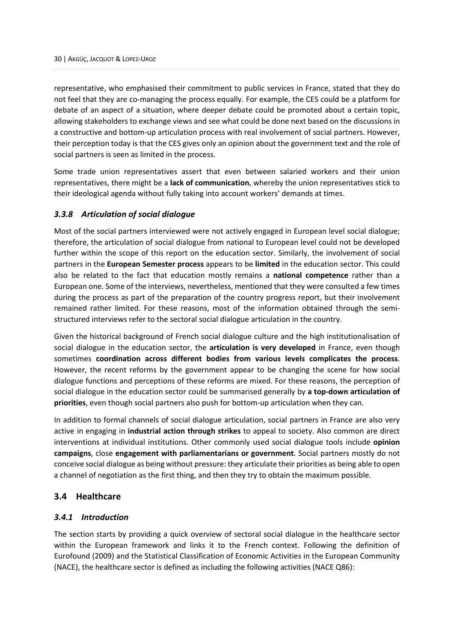representative, who emphasised their commitment to public services in France, stated that they do not feel that they are co-managing the process equally. For example, the CES could be a platform for debate of an aspect of a situation, where deeper debate could be promoted about a certain topic, allowing stakeholders to exchange views and see what could be done next based on the discussions in a constructive and bottom-up articulation process with real involvement of social partners. However, their perception today is that the CES gives only an opinion about the government text and the role of social partners is seen as limited in the process.

Some trade union representatives assert that even between salaried workers and their union representatives, there might be a **lack of communication**, whereby the union representatives stick to their ideological agenda without fully taking into account workers' demands at times.

# <span id="page-36-0"></span>*3.3.8 Articulation of social dialogue*

Most of the social partners interviewed were not actively engaged in European level social dialogue; therefore, the articulation of social dialogue from national to European level could not be developed further within the scope of this report on the education sector. Similarly, the involvement of social partners in the **European Semester process** appears to be **limited** in the education sector. This could also be related to the fact that education mostly remains a **national competence** rather than a European one. Some of the interviews, nevertheless, mentioned that they were consulted a few times during the process as part of the preparation of the country progress report, but their involvement remained rather limited. For these reasons, most of the information obtained through the semistructured interviews refer to the sectoral social dialogue articulation in the country.

Given the historical background of French social dialogue culture and the high institutionalisation of social dialogue in the education sector, the **articulation is very developed** in France, even though sometimes **coordination across different bodies from various levels complicates the process**. However, the recent reforms by the government appear to be changing the scene for how social dialogue functions and perceptions of these reforms are mixed. For these reasons, the perception of social dialogue in the education sector could be summarised generally by **a top-down articulation of priorities**, even though social partners also push for bottom-up articulation when they can.

In addition to formal channels of social dialogue articulation, social partners in France are also very active in engaging in **industrial action through strikes** to appeal to society. Also common are direct interventions at individual institutions. Other commonly used social dialogue tools include **opinion campaigns**, close **engagement with parliamentarians or government**. Social partners mostly do not conceive social dialogue as being without pressure: they articulate their priorities as being able to open a channel of negotiation as the first thing, and then they try to obtain the maximum possible.

# <span id="page-36-1"></span>**3.4 Healthcare**

# <span id="page-36-2"></span>*3.4.1 Introduction*

The section starts by providing a quick overview of sectoral social dialogue in the healthcare sector within the European framework and links it to the French context. Following the definition of Eurofound (2009) and the Statistical Classification of Economic Activities in the European Community (NACE), the healthcare sector is defined as including the following activities (NACE Q86):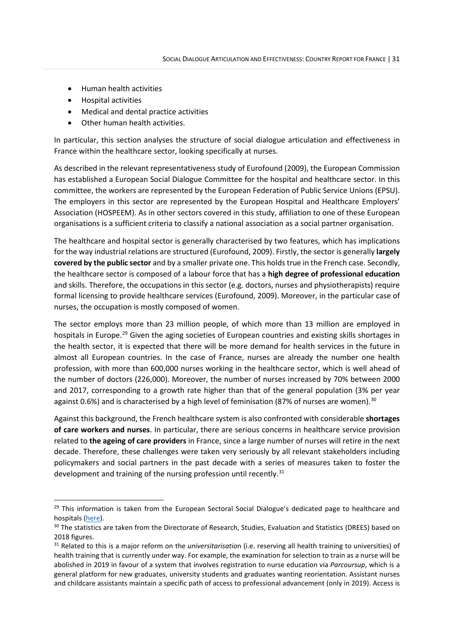- Human health activities
- Hospital activities
- Medical and dental practice activities
- Other human health activities.

In particular, this section analyses the structure of social dialogue articulation and effectiveness in France within the healthcare sector, looking specifically at nurses.

As described in the relevant representativeness study of Eurofound (2009), the European Commission has established a European Social Dialogue Committee for the hospital and healthcare sector. In this committee, the workers are represented by the European Federation of Public Service Unions (EPSU). The employers in this sector are represented by the European Hospital and Healthcare Employers' Association (HOSPEEM). As in other sectors covered in this study, affiliation to one of these European organisations is a sufficient criteria to classify a national association as a social partner organisation.

The healthcare and hospital sector is generally characterised by two features, which has implications for the way industrial relations are structured (Eurofound, 2009). Firstly, the sector is generally **largely covered by the public sector** and by a smaller private one. This holds true in the French case. Secondly, the healthcare sector is composed of a labour force that has a **high degree of professional education** and skills. Therefore, the occupations in this sector (e.g. doctors, nurses and physiotherapists) require formal licensing to provide healthcare services (Eurofound, 2009). Moreover, in the particular case of nurses, the occupation is mostly composed of women.

The sector employs more than 23 million people, of which more than 13 million are employed in hospitals in Europe.<sup>[29](#page-37-0)</sup> Given the aging societies of European countries and existing skills shortages in the health sector, it is expected that there will be more demand for health services in the future in almost all European countries. In the case of France, nurses are already the number one health profession, with more than 600,000 nurses working in the healthcare sector, which is well ahead of the number of doctors (226,000). Moreover, the number of nurses increased by 70% between 2000 and 2017, corresponding to a growth rate higher than that of the general population (3% per year against 0.6%) and is characterised by a high level of feminisation (87% of nurses are women). $^{30}$  $^{30}$  $^{30}$ 

Against this background, the French healthcare system is also confronted with considerable **shortages of care workers and nurses**. In particular, there are serious concerns in healthcare service provision related to **the ageing of care providers** in France, since a large number of nurses will retire in the next decade. Therefore, these challenges were taken very seriously by all relevant stakeholders including policymakers and social partners in the past decade with a series of measures taken to foster the development and training of the nursing profession until recently.<sup>[31](#page-37-2)</sup>

<span id="page-37-0"></span><sup>&</sup>lt;sup>29</sup> This information is taken from the European Sectoral Social Dialogue's dedicated page to healthcare and hospitals [\(here\)](https://ec.europa.eu/social/main.jsp?catId=480&langId=en&intPageId=1838).<br><sup>30</sup> The statistics are taken from the Directorate of Research, Studies, Evaluation and Statistics (DREES) based on

<span id="page-37-1"></span><sup>2018</sup> figures.

<span id="page-37-2"></span><sup>31</sup> Related to this is a major reform on the *universitarisatio*n (i.e. reserving all health training to universities) of health training that is currently under way. For example, the examination for selection to train as a nurse will be abolished in 2019 in favour of a system that involves registration to nurse education via *Parcoursup*, which is a general platform for new graduates, university students and graduates wanting reorientation. Assistant nurses and childcare assistants maintain a specific path of access to professional advancement (only in 2019). Access is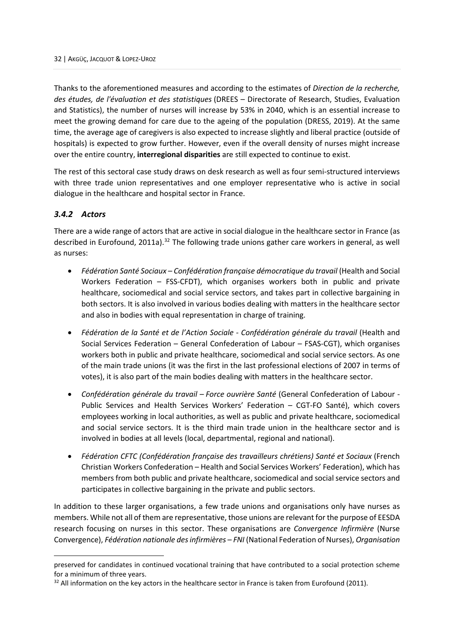Thanks to the aforementioned measures and according to the estimates of *Direction de la recherche, des études, de l'évaluation et des statistiques* (DREES – Directorate of Research, Studies, Evaluation and Statistics), the number of nurses will increase by 53% in 2040, which is an essential increase to meet the growing demand for care due to the ageing of the population (DRESS, 2019). At the same time, the average age of caregivers is also expected to increase slightly and liberal practice (outside of hospitals) is expected to grow further. However, even if the overall density of nurses might increase over the entire country, **interregional disparities** are still expected to continue to exist.

The rest of this sectoral case study draws on desk research as well as four semi-structured interviews with three trade union representatives and one employer representative who is active in social dialogue in the healthcare and hospital sector in France.

# <span id="page-38-0"></span>*3.4.2 Actors*

There are a wide range of actors that are active in social dialogue in the healthcare sector in France (as described in Eurofound, 2011a).<sup>[32](#page-38-1)</sup> The following trade unions gather care workers in general, as well as nurses:

- *Fédération Santé Sociaux – Confédération française démocratique du travail* (Health and Social Workers Federation – FSS-CFDT), which organises workers both in public and private healthcare, sociomedical and social service sectors, and takes part in collective bargaining in both sectors. It is also involved in various bodies dealing with matters in the healthcare sector and also in bodies with equal representation in charge of training.
- *Fédération de la Santé et de l'Action Sociale - Confédération générale du travail* (Health and Social Services Federation – General Confederation of Labour – FSAS-CGT), which organises workers both in public and private healthcare, sociomedical and social service sectors. As one of the main trade unions (it was the first in the last professional elections of 2007 in terms of votes), it is also part of the main bodies dealing with matters in the healthcare sector.
- *Confédération générale du travail – Force ouvrière Santé* (General Confederation of Labour Public Services and Health Services Workers' Federation – CGT-FO Santé), which covers employees working in local authorities, as well as public and private healthcare, sociomedical and social service sectors. It is the third main trade union in the healthcare sector and is involved in bodies at all levels (local, departmental, regional and national).
- *Fédération CFTC (Confédération française des travailleurs chrétiens) Santé et Sociaux* (French Christian Workers Confederation – Health and Social Services Workers' Federation), which has members from both public and private healthcare, sociomedical and social service sectors and participates in collective bargaining in the private and public sectors.

In addition to these larger organisations, a few trade unions and organisations only have nurses as members. While not all of them are representative, those unions are relevant for the purpose of EESDA research focusing on nurses in this sector. These organisations are *Convergence Infirmière* (Nurse Convergence), *Fédération nationale des infirmières – FNI* (National Federation of Nurses), *Organisation* 

preserved for candidates in continued vocational training that have contributed to a social protection scheme for a minimum of three years.

<span id="page-38-1"></span><sup>&</sup>lt;sup>32</sup> All information on the key actors in the healthcare sector in France is taken from Eurofound (2011).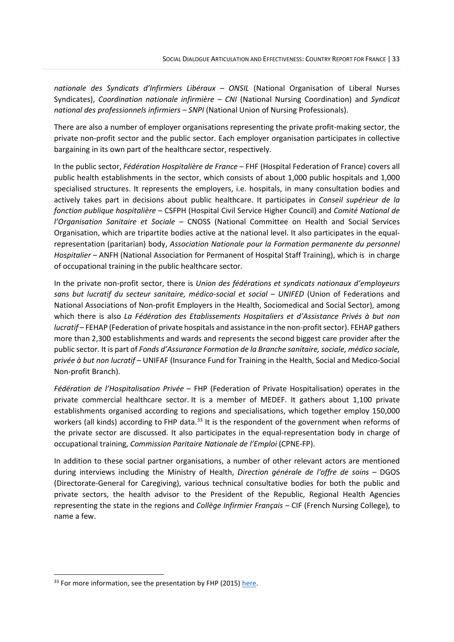*nationale des Syndicats d'Infirmiers Libéraux – ONSIL* (National Organisation of Liberal Nurses Syndicates), *Coordination nationale infirmière – CNI* (National Nursing Coordination) and *Syndicat national des professionnels infirmiers – SNPI* (National Union of Nursing Professionals).

There are also a number of employer organisations representing the private profit-making sector, the private non-profit sector and the public sector. Each employer organisation participates in collective bargaining in its own part of the healthcare sector, respectively.

In the public sector, *Fédération Hospitalière de France* – FHF (Hospital Federation of France) covers all public health establishments in the sector, which consists of about 1,000 public hospitals and 1,000 specialised structures. It represents the employers, i.e. hospitals, in many consultation bodies and actively takes part in decisions about public healthcare. It participates in *Conseil supérieur de la fonction publique hospitalière* – CSFPH (Hospital Civil Service Higher Council) and *Comité National de l'Organisation Sanitaire et Sociale* – CNOSS (National Committee on Health and Social Services Organisation, which are tripartite bodies active at the national level. It also participates in the equalrepresentation (paritarian) body, *Association Nationale pour la Formation permanente du personnel Hospitalier* – ANFH (National Association for Permanent of Hospital Staff Training), which is in charge of occupational training in the public healthcare sector.

In the private non-profit sector, there is *Union des fédérations et syndicats nationaux d'employeurs sans but lucratif du secteur sanitaire, médico-social et social – UNIFED* (Union of Federations and National Associations of Non-profit Employers in the Health, Sociomedical and Social Sector), among which there is also *La Fédération des Etablissements Hospitaliers et d'Assistance Privés à but non lucratif* – FEHAP (Federation of private hospitals and assistance in the non-profit sector). FEHAP gathers more than 2,300 establishments and wards and represents the second biggest care provider after the public sector. It is part of *Fonds d'Assurance Formation de la Branche sanitaire, sociale, médico sociale, privée à but non lucratif* – UNIFAF (Insurance Fund for Training in the Health, Social and Medico-Social Non-profit Branch).

*Fédération de l'Hospitalisation Privée* – FHP (Federation of Private Hospitalisation) operates in the private commercial healthcare sector. It is a member of MEDEF. It gathers about 1,100 private establishments organised according to regions and specialisations, which together employ 150,000 workers (all kinds) according to FHP data.<sup>[33](#page-39-0)</sup> It is the respondent of the government when reforms of the private sector are discussed. It also participates in the equal-representation body in charge of occupational training, *Commission Paritaire Nationale de l'Emploi* (CPNE-FP).

In addition to these social partner organisations, a number of other relevant actors are mentioned during interviews including the Ministry of Health, *Direction générale de l'offre de soins* – DGOS (Directorate-General for Caregiving), various technical consultative bodies for both the public and private sectors, the health advisor to the President of the Republic, Regional Health Agencies representing the state in the regions and *Collège Infirmier Français* – CIF (French Nursing College), to name a few.

<span id="page-39-0"></span><sup>&</sup>lt;sup>33</sup> For more information, see the presentation by FHP (2015[\) here.](https://koama.fhp.fr/fichiers/20191002170625_Plaquette_FHP__Nov._2015.pdf)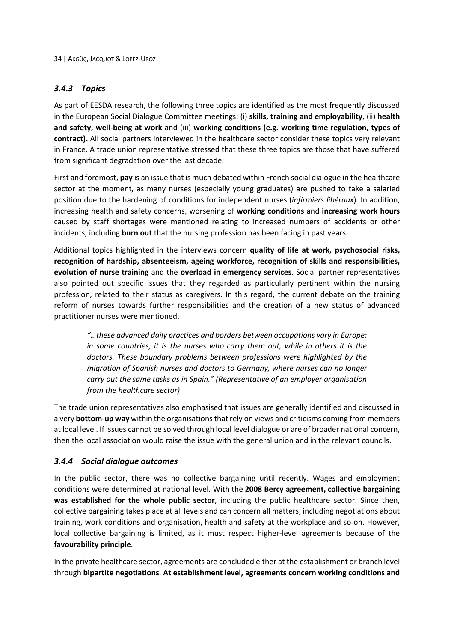#### <span id="page-40-0"></span>*3.4.3 Topics*

As part of EESDA research, the following three topics are identified as the most frequently discussed in the European Social Dialogue Committee meetings: (i) **skills, training and employability**, (ii) **health and safety, well-being at work** and (iii) **working conditions (e.g. working time regulation, types of contract).** All social partners interviewed in the healthcare sector consider these topics very relevant in France. A trade union representative stressed that these three topics are those that have suffered from significant degradation over the last decade.

First and foremost, **pay** is an issue that is much debated within French social dialogue in the healthcare sector at the moment, as many nurses (especially young graduates) are pushed to take a salaried position due to the hardening of conditions for independent nurses (*infirmiers libéraux*). In addition, increasing health and safety concerns, worsening of **working conditions** and **increasing work hours** caused by staff shortages were mentioned relating to increased numbers of accidents or other incidents, including **burn out** that the nursing profession has been facing in past years.

Additional topics highlighted in the interviews concern **quality of life at work, psychosocial risks, recognition of hardship, absenteeism, ageing workforce, recognition of skills and responsibilities, evolution of nurse training** and the **overload in emergency services**. Social partner representatives also pointed out specific issues that they regarded as particularly pertinent within the nursing profession, related to their status as caregivers. In this regard, the current debate on the training reform of nurses towards further responsibilities and the creation of a new status of advanced practitioner nurses were mentioned.

*"…these advanced daily practices and borders between occupations vary in Europe: in some countries, it is the nurses who carry them out, while in others it is the doctors. These boundary problems between professions were highlighted by the migration of Spanish nurses and doctors to Germany, where nurses can no longer carry out the same tasks as in Spain." (Representative of an employer organisation from the healthcare sector)*

The trade union representatives also emphasised that issues are generally identified and discussed in a very **bottom-up way** within the organisations that rely on views and criticisms coming from members at local level. If issues cannot be solved through local level dialogue or are of broader national concern, then the local association would raise the issue with the general union and in the relevant councils.

#### <span id="page-40-1"></span>*3.4.4 Social dialogue outcomes*

In the public sector, there was no collective bargaining until recently. Wages and employment conditions were determined at national level. With the **[2008 Bercy agreement,](http://www.fonction-publique.gouv.fr/article1018.html?artsuite=4#sommaire_1) collective bargaining was established for the whole public sector**, including the public healthcare sector. Since then, collective bargaining takes place at all levels and can concern all matters, including negotiations about training, work conditions and organisation, health and safety at the workplace and so on. However, local collective bargaining is limited, as it must respect higher-level agreements because of the **favourability principle**.

In the private healthcare sector, agreements are concluded either at the establishment or branch level through **bipartite negotiations**. **At establishment level, agreements concern working conditions and**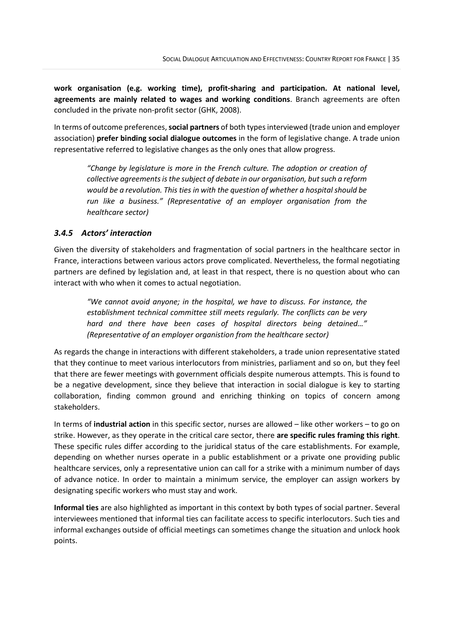**work organisation (e.g. working time), profit-sharing and participation. At national level, agreements are mainly related to wages and working conditions**. Branch agreements are often concluded in the private non-profit sector (GHK, 2008).

In terms of outcome preferences, **social partners** of both typesinterviewed (trade union and employer association) **prefer binding social dialogue outcomes** in the form of legislative change. A trade union representative referred to legislative changes as the only ones that allow progress.

*"Change by legislature is more in the French culture. The adoption or creation of collective agreements is the subject of debate in our organisation, but such a reform would be a revolution. This ties in with the question of whether a hospital should be run like a business." (Representative of an employer organisation from the healthcare sector)*

#### <span id="page-41-0"></span>*3.4.5 Actors' interaction*

Given the diversity of stakeholders and fragmentation of social partners in the healthcare sector in France, interactions between various actors prove complicated. Nevertheless, the formal negotiating partners are defined by legislation and, at least in that respect, there is no question about who can interact with who when it comes to actual negotiation.

*"We cannot avoid anyone; in the hospital, we have to discuss. For instance, the establishment technical committee still meets regularly. The conflicts can be very hard and there have been cases of hospital directors being detained…" (Representative of an employer organistion from the healthcare sector)*

As regards the change in interactions with different stakeholders, a trade union representative stated that they continue to meet various interlocutors from ministries, parliament and so on, but they feel that there are fewer meetings with government officials despite numerous attempts. This is found to be a negative development, since they believe that interaction in social dialogue is key to starting collaboration, finding common ground and enriching thinking on topics of concern among stakeholders.

In terms of **industrial action** in this specific sector, nurses are allowed – like other workers – to go on strike. However, as they operate in the critical care sector, there **are specific rules framing this right**. These specific rules differ according to the juridical status of the care establishments. For example, depending on whether nurses operate in a public establishment or a private one providing public healthcare services, only a representative union can call for a strike with a minimum number of days of advance notice. In order to maintain a minimum service, the employer can assign workers by designating specific workers who must stay and work.

**Informal ties** are also highlighted as important in this context by both types of social partner. Several interviewees mentioned that informal ties can facilitate access to specific interlocutors. Such ties and informal exchanges outside of official meetings can sometimes change the situation and unlock hook points.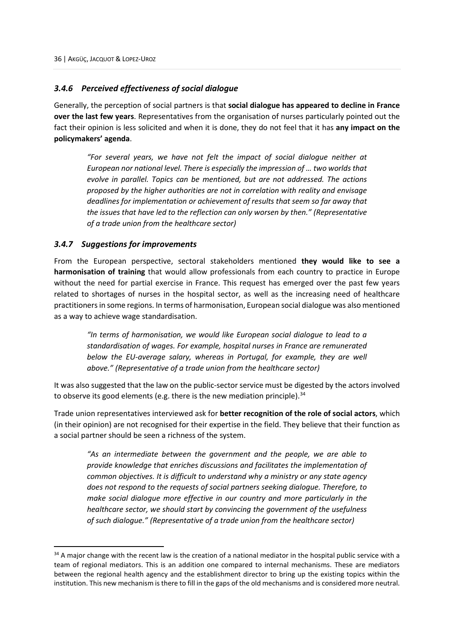# <span id="page-42-0"></span>*3.4.6 Perceived effectiveness of social dialogue*

Generally, the perception of social partners is that **social dialogue has appeared to decline in France over the last few years**. Representatives from the organisation of nurses particularly pointed out the fact their opinion is less solicited and when it is done, they do not feel that it has **any impact on the policymakers' agenda**.

*"For several years, we have not felt the impact of social dialogue neither at European nor national level. There is especially the impression of … two worlds that evolve in parallel. Topics can be mentioned, but are not addressed. The actions proposed by the higher authorities are not in correlation with reality and envisage deadlines for implementation or achievement of results that seem so far away that the issues that have led to the reflection can only worsen by then." (Representative of a trade union from the healthcare sector)*

#### <span id="page-42-1"></span>*3.4.7 Suggestions for improvements*

From the European perspective, sectoral stakeholders mentioned **they would like to see a harmonisation of training** that would allow professionals from each country to practice in Europe without the need for partial exercise in France. This request has emerged over the past few years related to shortages of nurses in the hospital sector, as well as the increasing need of healthcare practitioners in some regions. In terms of harmonisation, European social dialogue was also mentioned as a way to achieve wage standardisation.

*"In terms of harmonisation, we would like European social dialogue to lead to a standardisation of wages. For example, hospital nurses in France are remunerated below the EU-average salary, whereas in Portugal, for example, they are well above." (Representative of a trade union from the healthcare sector)*

It was also suggested that the law on the public-sectorservice must be digested by the actors involved to observe its good elements (e.g. there is the new mediation principle).<sup>[34](#page-42-2)</sup>

Trade union representatives interviewed ask for **better recognition of the role of social actors**, which (in their opinion) are not recognised for their expertise in the field. They believe that their function as a social partner should be seen a richness of the system.

*"As an intermediate between the government and the people, we are able to provide knowledge that enriches discussions and facilitates the implementation of common objectives. It is difficult to understand why a ministry or any state agency does not respond to the requests of social partners seeking dialogue. Therefore, to make social dialogue more effective in our country and more particularly in the healthcare sector, we should start by convincing the government of the usefulness of such dialogue." (Representative of a trade union from the healthcare sector)*

<span id="page-42-2"></span> $34$  A major change with the recent law is the creation of a national mediator in the hospital public service with a team of regional mediators. This is an addition one compared to internal mechanisms. These are mediators between the regional health agency and the establishment director to bring up the existing topics within the institution. This new mechanism is there to fill in the gaps of the old mechanisms and is considered more neutral.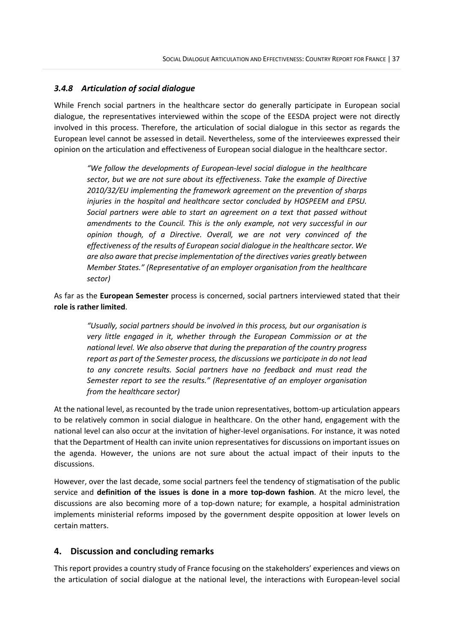# <span id="page-43-0"></span>*3.4.8 Articulation of social dialogue*

While French social partners in the healthcare sector do generally participate in European social dialogue, the representatives interviewed within the scope of the EESDA project were not directly involved in this process. Therefore, the articulation of social dialogue in this sector as regards the European level cannot be assessed in detail. Nevertheless, some of the intervieewes expressed their opinion on the articulation and effectiveness of European social dialogue in the healthcare sector.

*"We follow the developments of European-level social dialogue in the healthcare sector, but we are not sure about its effectiveness. Take the example of Directive 2010/32/EU implementing the framework agreement on the prevention of sharps injuries in the hospital and healthcare sector concluded by HOSPEEM and EPSU. Social partners were able to start an agreement on a text that passed without amendments to the Council. This is the only example, not very successful in our opinion though, of a Directive. Overall, we are not very convinced of the effectiveness of the results of European social dialogue in the healthcare sector. We are also aware that precise implementation of the directives varies greatly between Member States." (Representative of an employer organisation from the healthcare sector)*

As far as the **European Semester** process is concerned, social partners interviewed stated that their **role is rather limited**.

*"Usually, social partners should be involved in this process, but our organisation is very little engaged in it, whether through the European Commission or at the national level. We also observe that during the preparation of the country progress report as part of the Semester process, the discussions we participate in do not lead to any concrete results. Social partners have no feedback and must read the Semester report to see the results." (Representative of an employer organisation from the healthcare sector)*

At the national level, as recounted by the trade union representatives, bottom-up articulation appears to be relatively common in social dialogue in healthcare. On the other hand, engagement with the national level can also occur at the invitation of higher-level organisations. For instance, it was noted that the Department of Health can invite union representatives for discussions on important issues on the agenda. However, the unions are not sure about the actual impact of their inputs to the discussions.

However, over the last decade, some social partners feel the tendency of stigmatisation of the public service and **definition of the issues is done in a more top-down fashion**. At the micro level, the discussions are also becoming more of a top-down nature; for example, a hospital administration implements ministerial reforms imposed by the government despite opposition at lower levels on certain matters.

#### <span id="page-43-1"></span>**4. Discussion and concluding remarks**

This report provides a country study of France focusing on the stakeholders' experiences and views on the articulation of social dialogue at the national level, the interactions with European-level social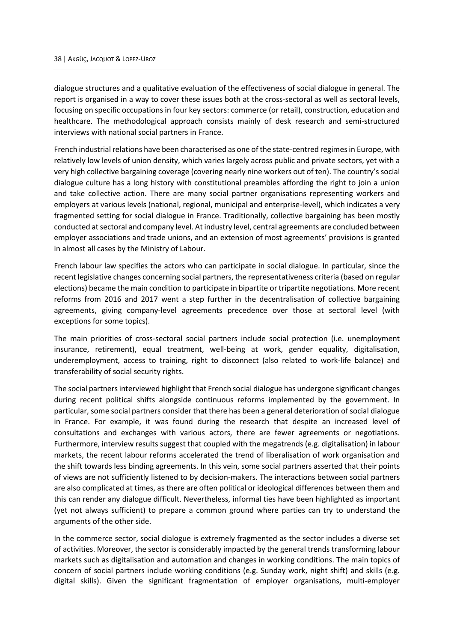dialogue structures and a qualitative evaluation of the effectiveness of social dialogue in general. The report is organised in a way to cover these issues both at the cross-sectoral as well as sectoral levels, focusing on specific occupations in four key sectors: commerce (or retail), construction, education and healthcare. The methodological approach consists mainly of desk research and semi-structured interviews with national social partners in France.

French industrial relations have been characterised as one of the state-centred regimesin Europe, with relatively low levels of union density, which varies largely across public and private sectors, yet with a very high collective bargaining coverage (covering nearly nine workers out of ten). The country's social dialogue culture has a long history with constitutional preambles affording the right to join a union and take collective action. There are many social partner organisations representing workers and employers at various levels (national, regional, municipal and enterprise-level), which indicates a very fragmented setting for social dialogue in France. Traditionally, collective bargaining has been mostly conducted at sectoral and company level. At industry level, central agreements are concluded between employer associations and trade unions, and an extension of most agreements' provisions is granted in almost all cases by the Ministry of Labour.

French labour law specifies the actors who can participate in social dialogue. In particular, since the recent legislative changes concerning social partners, the representativeness criteria (based on regular elections) became the main condition to participate in bipartite or tripartite negotiations. More recent reforms from 2016 and 2017 went a step further in the decentralisation of collective bargaining agreements, giving company-level agreements precedence over those at sectoral level (with exceptions for some topics).

The main priorities of cross-sectoral social partners include social protection (i.e. unemployment insurance, retirement), equal treatment, well-being at work, gender equality, digitalisation, underemployment, access to training, right to disconnect (also related to work-life balance) and transferability of social security rights.

The social partners interviewed highlight that French social dialogue has undergone significant changes during recent political shifts alongside continuous reforms implemented by the government. In particular, some social partners consider that there has been a general deterioration of social dialogue in France. For example, it was found during the research that despite an increased level of consultations and exchanges with various actors, there are fewer agreements or negotiations. Furthermore, interview results suggest that coupled with the megatrends (e.g. digitalisation) in labour markets, the recent labour reforms accelerated the trend of liberalisation of work organisation and the shift towards less binding agreements. In this vein, some social partners asserted that their points of views are not sufficiently listened to by decision-makers. The interactions between social partners are also complicated at times, as there are often political or ideological differences between them and this can render any dialogue difficult. Nevertheless, informal ties have been highlighted as important (yet not always sufficient) to prepare a common ground where parties can try to understand the arguments of the other side.

In the commerce sector, social dialogue is extremely fragmented as the sector includes a diverse set of activities. Moreover, the sector is considerably impacted by the general trends transforming labour markets such as digitalisation and automation and changes in working conditions. The main topics of concern of social partners include working conditions (e.g. Sunday work, night shift) and skills (e.g. digital skills). Given the significant fragmentation of employer organisations, multi-employer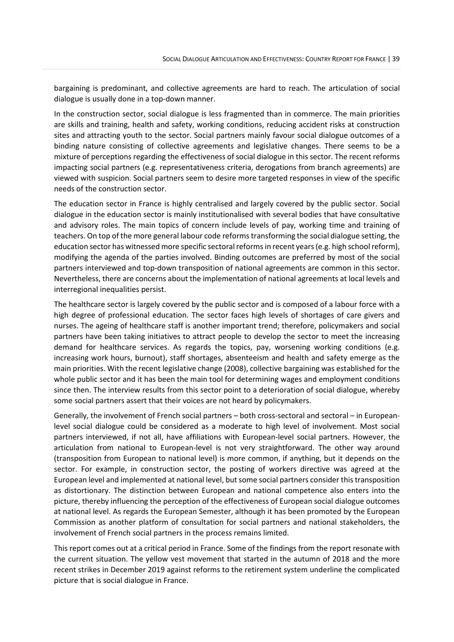bargaining is predominant, and collective agreements are hard to reach. The articulation of social dialogue is usually done in a top-down manner.

In the construction sector, social dialogue is less fragmented than in commerce. The main priorities are skills and training, health and safety, working conditions, reducing accident risks at construction sites and attracting youth to the sector. Social partners mainly favour social dialogue outcomes of a binding nature consisting of collective agreements and legislative changes. There seems to be a mixture of perceptions regarding the effectiveness of social dialogue in this sector. The recent reforms impacting social partners (e.g. representativeness criteria, derogations from branch agreements) are viewed with suspicion. Social partners seem to desire more targeted responses in view of the specific needs of the construction sector.

The education sector in France is highly centralised and largely covered by the public sector. Social dialogue in the education sector is mainly institutionalised with several bodies that have consultative and advisory roles. The main topics of concern include levels of pay, working time and training of teachers. On top of the more general labour code reforms transforming the social dialogue setting, the education sector has witnessed more specific sectoral reforms in recent years (e.g. high school reform), modifying the agenda of the parties involved. Binding outcomes are preferred by most of the social partners interviewed and top-down transposition of national agreements are common in this sector. Nevertheless, there are concerns about the implementation of national agreements at local levels and interregional inequalities persist.

The healthcare sector is largely covered by the public sector and is composed of a labour force with a high degree of professional education. The sector faces high levels of shortages of care givers and nurses. The ageing of healthcare staff is another important trend; therefore, policymakers and social partners have been taking initiatives to attract people to develop the sector to meet the increasing demand for healthcare services. As regards the topics, pay, worsening working conditions (e.g. increasing work hours, burnout), staff shortages, absenteeism and health and safety emerge as the main priorities. With the recent legislative change (2008), collective bargaining was established for the whole public sector and it has been the main tool for determining wages and employment conditions since then. The interview results from this sector point to a deterioration of social dialogue, whereby some social partners assert that their voices are not heard by policymakers.

Generally, the involvement of French social partners – both cross-sectoral and sectoral – in Europeanlevel social dialogue could be considered as a moderate to high level of involvement. Most social partners interviewed, if not all, have affiliations with European-level social partners. However, the articulation from national to European-level is not very straightforward. The other way around (transposition from European to national level) is more common, if anything, but it depends on the sector. For example, in construction sector, the posting of workers directive was agreed at the European level and implemented at national level, but some social partners consider this transposition as distortionary. The distinction between European and national competence also enters into the picture, thereby influencing the perception of the effectiveness of European social dialogue outcomes at national level. As regards the European Semester, although it has been promoted by the European Commission as another platform of consultation for social partners and national stakeholders, the involvement of French social partners in the process remains limited.

This report comes out at a critical period in France. Some of the findings from the report resonate with the current situation. The yellow vest movement that started in the autumn of 2018 and the more recent strikes in December 2019 against reforms to the retirement system underline the complicated picture that is social dialogue in France.